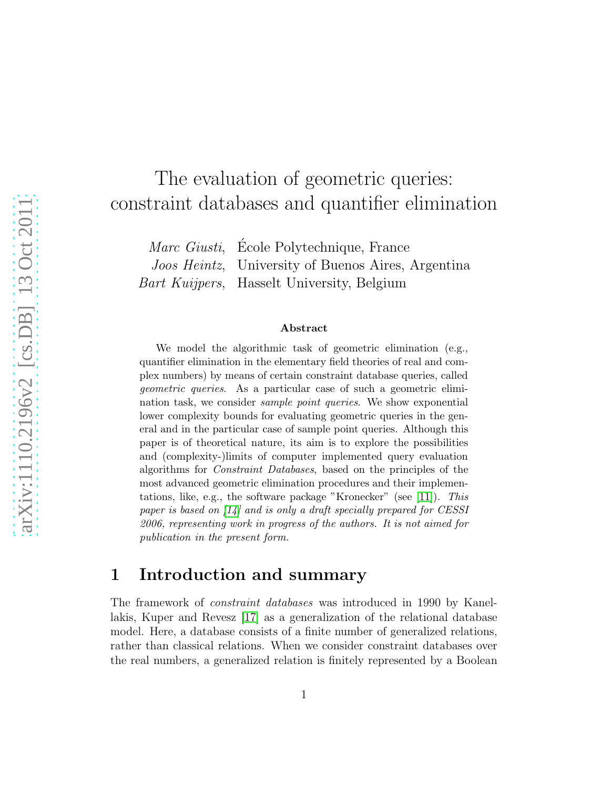# The evaluation of geometric queries: constraint databases and quantifier elimination

| Marc Giusti, École Polytechnique, France                   |
|------------------------------------------------------------|
| <i>Joos Heintz</i> , University of Buenos Aires, Argentina |
| Bart Kuijpers, Hasselt University, Belgium                 |

#### Abstract

We model the algorithmic task of geometric elimination (e.g., quantifier elimination in the elementary field theories of real and complex numbers) by means of certain constraint database queries, called geometric queries. As a particular case of such a geometric elimination task, we consider sample point queries. We show exponential lower complexity bounds for evaluating geometric queries in the general and in the particular case of sample point queries. Although this paper is of theoretical nature, its aim is to explore the possibilities and (complexity-)limits of computer implemented query evaluation algorithms for Constraint Databases, based on the principles of the most advanced geometric elimination procedures and their implementations, like, e.g., the software package "Kronecker" (see [\[11\]](#page-43-0)). This paper is based on [\[14\]](#page-43-1) and is only a draft specially prepared for CESSI 2006, representing work in progress of the authors. It is not aimed for publication in the present form.

## 1 Introduction and summary

The framework of constraint databases was introduced in 1990 by Kanellakis, Kuper and Revesz [\[17\]](#page-43-2) as a generalization of the relational database model. Here, a database consists of a finite number of generalized relations, rather than classical relations. When we consider constraint databases over the real numbers, a generalized relation is finitely represented by a Boolean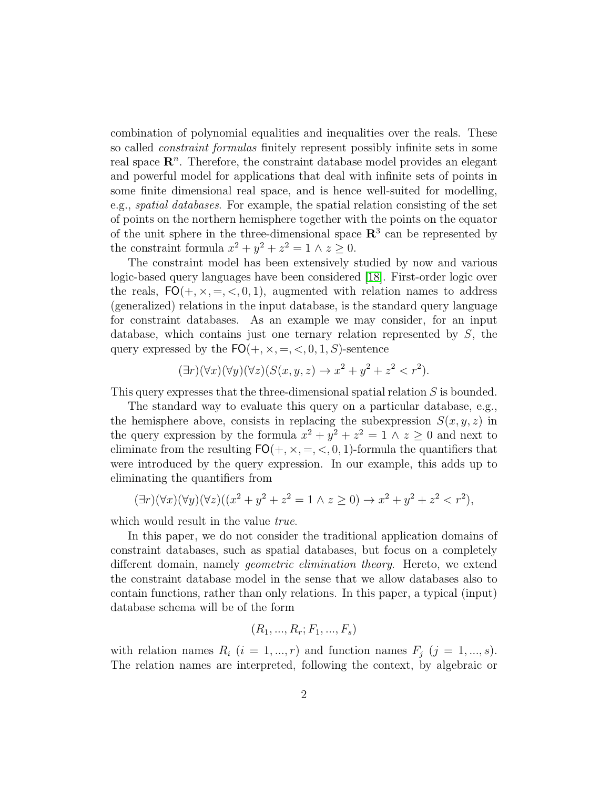combination of polynomial equalities and inequalities over the reals. These so called constraint formulas finitely represent possibly infinite sets in some real space  $\mathbb{R}^n$ . Therefore, the constraint database model provides an elegant and powerful model for applications that deal with infinite sets of points in some finite dimensional real space, and is hence well-suited for modelling, e.g., spatial databases. For example, the spatial relation consisting of the set of points on the northern hemisphere together with the points on the equator of the unit sphere in the three-dimensional space  $\mathbb{R}^3$  can be represented by the constraint formula  $x^2 + y^2 + z^2 = 1 \wedge z \ge 0$ .

The constraint model has been extensively studied by now and various logic-based query languages have been considered [\[18\]](#page-43-3). First-order logic over the reals,  $FO(+, \times, =, <, 0, 1)$ , augmented with relation names to address (generalized) relations in the input database, is the standard query language for constraint databases. As an example we may consider, for an input database, which contains just one ternary relation represented by  $S$ , the query expressed by the  $FO(+, \times, =, <, 0, 1, S)$ -sentence

$$
(\exists r)(\forall x)(\forall y)(\forall z)(S(x, y, z) \rightarrow x^2 + y^2 + z^2 < r^2).
$$

This query expresses that the three-dimensional spatial relation S is bounded.

The standard way to evaluate this query on a particular database, e.g., the hemisphere above, consists in replacing the subexpression  $S(x, y, z)$  in the query expression by the formula  $x^2 + y^2 + z^2 = 1 \wedge z \ge 0$  and next to eliminate from the resulting  $FO(+, \times, =, <, 0, 1)$ -formula the quantifiers that were introduced by the query expression. In our example, this adds up to eliminating the quantifiers from

$$
(\exists r)(\forall x)(\forall y)(\forall z)((x^2 + y^2 + z^2 = 1 \land z \ge 0) \to x^2 + y^2 + z^2 < r^2),
$$

which would result in the value *true*.

In this paper, we do not consider the traditional application domains of constraint databases, such as spatial databases, but focus on a completely different domain, namely geometric elimination theory. Hereto, we extend the constraint database model in the sense that we allow databases also to contain functions, rather than only relations. In this paper, a typical (input) database schema will be of the form

$$
(R_1, ..., R_r; F_1, ..., F_s)
$$

with relation names  $R_i$   $(i = 1, ..., r)$  and function names  $F_i$   $(j = 1, ..., s)$ . The relation names are interpreted, following the context, by algebraic or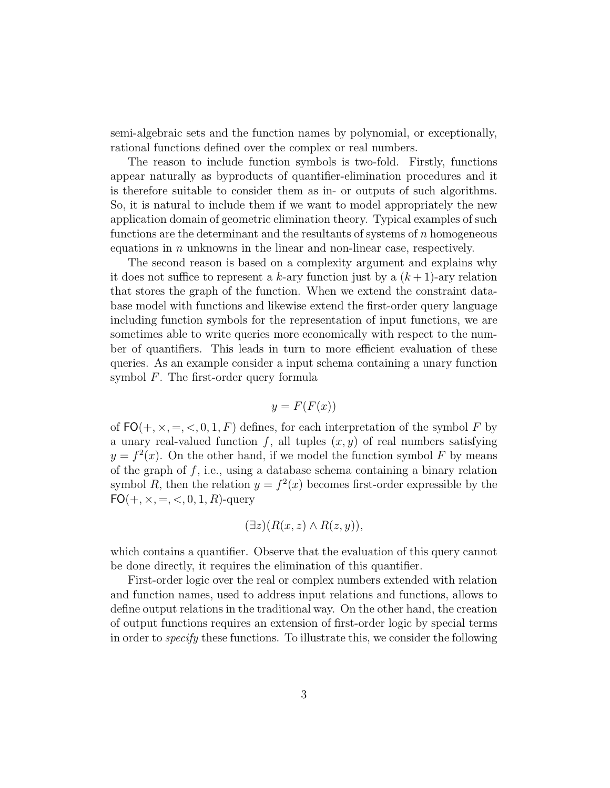semi-algebraic sets and the function names by polynomial, or exceptionally, rational functions defined over the complex or real numbers.

The reason to include function symbols is two-fold. Firstly, functions appear naturally as byproducts of quantifier-elimination procedures and it is therefore suitable to consider them as in- or outputs of such algorithms. So, it is natural to include them if we want to model appropriately the new application domain of geometric elimination theory. Typical examples of such functions are the determinant and the resultants of systems of  $n$  homogeneous equations in  $n$  unknowns in the linear and non-linear case, respectively.

The second reason is based on a complexity argument and explains why it does not suffice to represent a k-ary function just by a  $(k+1)$ -ary relation that stores the graph of the function. When we extend the constraint database model with functions and likewise extend the first-order query language including function symbols for the representation of input functions, we are sometimes able to write queries more economically with respect to the number of quantifiers. This leads in turn to more efficient evaluation of these queries. As an example consider a input schema containing a unary function symbol F. The first-order query formula

$$
y = F(F(x))
$$

of  $FO(+, \times, =, <, 0, 1, F)$  defines, for each interpretation of the symbol F by a unary real-valued function f, all tuples  $(x, y)$  of real numbers satisfying  $y = f<sup>2</sup>(x)$ . On the other hand, if we model the function symbol F by means of the graph of  $f$ , i.e., using a database schema containing a binary relation symbol R, then the relation  $y = f^2(x)$  becomes first-order expressible by the  $FO(+, \times, =, <, 0, 1, R)$ -query

$$
(\exists z)(R(x,z)\wedge R(z,y)),
$$

which contains a quantifier. Observe that the evaluation of this query cannot be done directly, it requires the elimination of this quantifier.

First-order logic over the real or complex numbers extended with relation and function names, used to address input relations and functions, allows to define output relations in the traditional way. On the other hand, the creation of output functions requires an extension of first-order logic by special terms in order to specify these functions. To illustrate this, we consider the following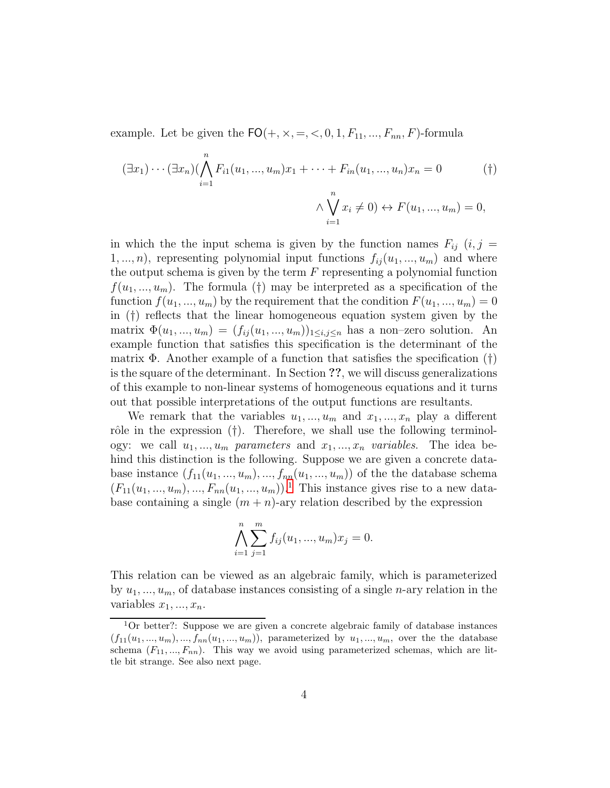example. Let be given the  $FO(+, \times, =, <, 0, 1, F_{11}, ..., F_{nn}, F)$ -formula

$$
(\exists x_1) \cdots (\exists x_n) (\bigwedge_{i=1}^n F_{i1}(u_1, ..., u_m)x_1 + \cdots + F_{in}(u_1, ..., u_n)x_n = 0 \qquad (*)
$$
  

$$
\wedge \bigvee_{i=1}^n x_i \neq 0) \leftrightarrow F(u_1, ..., u_m) = 0,
$$

in which the the input schema is given by the function names  $F_{ij}$   $(i, j =$  $1, ..., n$ , representing polynomial input functions  $f_{ij}(u_1, ..., u_m)$  and where the output schema is given by the term  $F$  representing a polynomial function  $f(u_1, \ldots, u_m)$ . The formula (†) may be interpreted as a specification of the function  $f(u_1, ..., u_m)$  by the requirement that the condition  $F(u_1, ..., u_m) = 0$ in (†) reflects that the linear homogeneous equation system given by the matrix  $\Phi(u_1, ..., u_m) = (f_{ij}(u_1, ..., u_m))_{1 \leq i,j \leq n}$  has a non-zero solution. An example function that satisfies this specification is the determinant of the matrix  $\Phi$ . Another example of a function that satisfies the specification (†) is the square of the determinant. In Section ??, we will discuss generalizations of this example to non-linear systems of homogeneous equations and it turns out that possible interpretations of the output functions are resultants.

We remark that the variables  $u_1, ..., u_m$  and  $x_1, ..., x_n$  play a different rôle in the expression  $(†)$ . Therefore, we shall use the following terminology: we call  $u_1, ..., u_m$  parameters and  $x_1, ..., x_n$  variables. The idea behind this distinction is the following. Suppose we are given a concrete database instance  $(f_{11}(u_1, ..., u_m), ..., f_{nn}(u_1, ..., u_m))$  of the the database schema  $(F_{11}(u_1, ..., u_m), ..., F_{nn}(u_1, ..., u_m))$  $(F_{11}(u_1, ..., u_m), ..., F_{nn}(u_1, ..., u_m))$  $(F_{11}(u_1, ..., u_m), ..., F_{nn}(u_1, ..., u_m))$ <sup>1</sup>. This instance gives rise to a new database containing a single  $(m + n)$ -ary relation described by the expression

$$
\bigwedge_{i=1}^{n} \sum_{j=1}^{m} f_{ij}(u_1, ..., u_m)x_j = 0.
$$

This relation can be viewed as an algebraic family, which is parameterized by  $u_1, \ldots, u_m$ , of database instances consisting of a single *n*-ary relation in the variables  $x_1, ..., x_n$ .

<span id="page-3-0"></span><sup>&</sup>lt;sup>1</sup>Or better?: Suppose we are given a concrete algebraic family of database instances  $(f_{11}(u_1, ..., u_m), ..., f_{nn}(u_1, ..., u_m))$ , parameterized by  $u_1, ..., u_m$ , over the the database schema  $(F_{11},..., F_{nn})$ . This way we avoid using parameterized schemas, which are little bit strange. See also next page.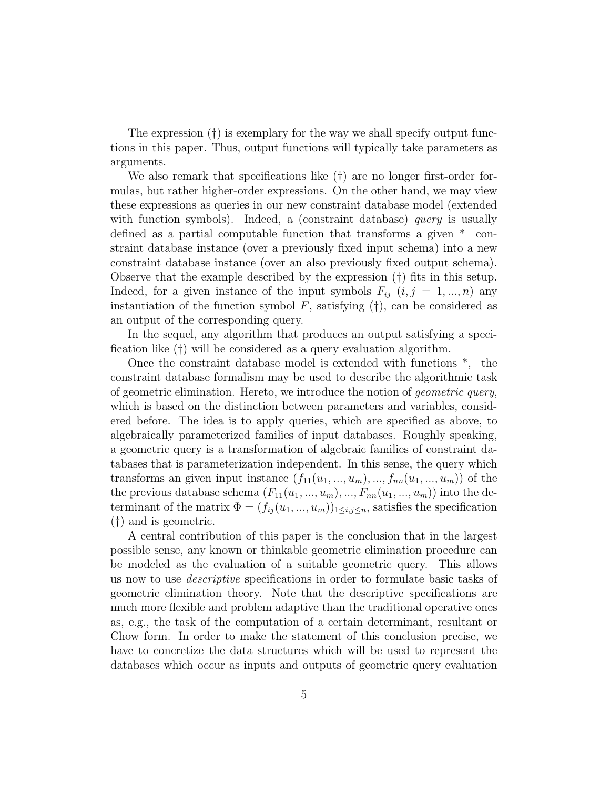The expression (†) is exemplary for the way we shall specify output functions in this paper. Thus, output functions will typically take parameters as arguments.

We also remark that specifications like  $(†)$  are no longer first-order formulas, but rather higher-order expressions. On the other hand, we may view these expressions as queries in our new constraint database model (extended with function symbols). Indeed, a (constraint database) *query* is usually defined as a partial computable function that transforms a given \* constraint database instance (over a previously fixed input schema) into a new constraint database instance (over an also previously fixed output schema). Observe that the example described by the expression (†) fits in this setup. Indeed, for a given instance of the input symbols  $F_{ij}$   $(i, j = 1, ..., n)$  any instantiation of the function symbol  $F$ , satisfying  $(†)$ , can be considered as an output of the corresponding query.

In the sequel, any algorithm that produces an output satisfying a specification like (†) will be considered as a query evaluation algorithm.

Once the constraint database model is extended with functions \*, the constraint database formalism may be used to describe the algorithmic task of geometric elimination. Hereto, we introduce the notion of geometric query, which is based on the distinction between parameters and variables, considered before. The idea is to apply queries, which are specified as above, to algebraically parameterized families of input databases. Roughly speaking, a geometric query is a transformation of algebraic families of constraint databases that is parameterization independent. In this sense, the query which transforms an given input instance  $(f_{11}(u_1, ..., u_m), ..., f_{nn}(u_1, ..., u_m))$  of the the previous database schema  $(F_{11}(u_1, ..., u_m), ..., F_{nn}(u_1, ..., u_m))$  into the determinant of the matrix  $\Phi = (f_{ij}(u_1, ..., u_m))_{1 \le i,j \le n}$ , satisfies the specification (†) and is geometric.

A central contribution of this paper is the conclusion that in the largest possible sense, any known or thinkable geometric elimination procedure can be modeled as the evaluation of a suitable geometric query. This allows us now to use descriptive specifications in order to formulate basic tasks of geometric elimination theory. Note that the descriptive specifications are much more flexible and problem adaptive than the traditional operative ones as, e.g., the task of the computation of a certain determinant, resultant or Chow form. In order to make the statement of this conclusion precise, we have to concretize the data structures which will be used to represent the databases which occur as inputs and outputs of geometric query evaluation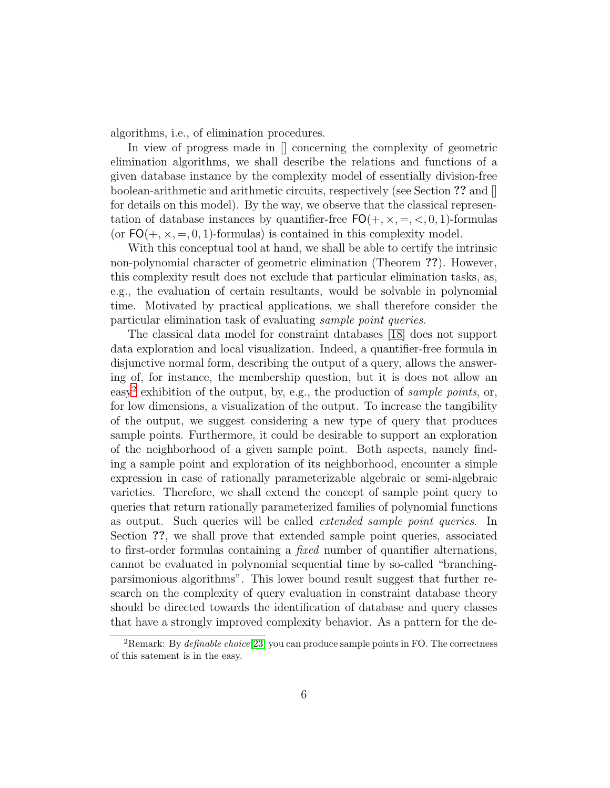algorithms, i.e., of elimination procedures.

In view of progress made in  $\parallel$  concerning the complexity of geometric elimination algorithms, we shall describe the relations and functions of a given database instance by the complexity model of essentially division-free boolean-arithmetic and arithmetic circuits, respectively (see Section ?? and [] for details on this model). By the way, we observe that the classical representation of database instances by quantifier-free  $FO(+, \times, =, <, 0, 1)$ -formulas (or  $FO(+, \times, =, 0, 1)$ -formulas) is contained in this complexity model.

With this conceptual tool at hand, we shall be able to certify the intrinsic non-polynomial character of geometric elimination (Theorem ??). However, this complexity result does not exclude that particular elimination tasks, as, e.g., the evaluation of certain resultants, would be solvable in polynomial time. Motivated by practical applications, we shall therefore consider the particular elimination task of evaluating sample point queries.

The classical data model for constraint databases [\[18\]](#page-43-3) does not support data exploration and local visualization. Indeed, a quantifier-free formula in disjunctive normal form, describing the output of a query, allows the answering of, for instance, the membership question, but it is does not allow an easy<sup>[2](#page-5-0)</sup> exhibition of the output, by, e.g., the production of sample points, or, for low dimensions, a visualization of the output. To increase the tangibility of the output, we suggest considering a new type of query that produces sample points. Furthermore, it could be desirable to support an exploration of the neighborhood of a given sample point. Both aspects, namely finding a sample point and exploration of its neighborhood, encounter a simple expression in case of rationally parameterizable algebraic or semi-algebraic varieties. Therefore, we shall extend the concept of sample point query to queries that return rationally parameterized families of polynomial functions as output. Such queries will be called extended sample point queries. In Section ??, we shall prove that extended sample point queries, associated to first-order formulas containing a fixed number of quantifier alternations, cannot be evaluated in polynomial sequential time by so-called "branchingparsimonious algorithms". This lower bound result suggest that further research on the complexity of query evaluation in constraint database theory should be directed towards the identification of database and query classes that have a strongly improved complexity behavior. As a pattern for the de-

<span id="page-5-0"></span><sup>&</sup>lt;sup>2</sup>Remark: By *definable choice*<sup>[\[23\]](#page-44-0)</sup> you can produce sample points in FO. The correctness of this satement is in the easy.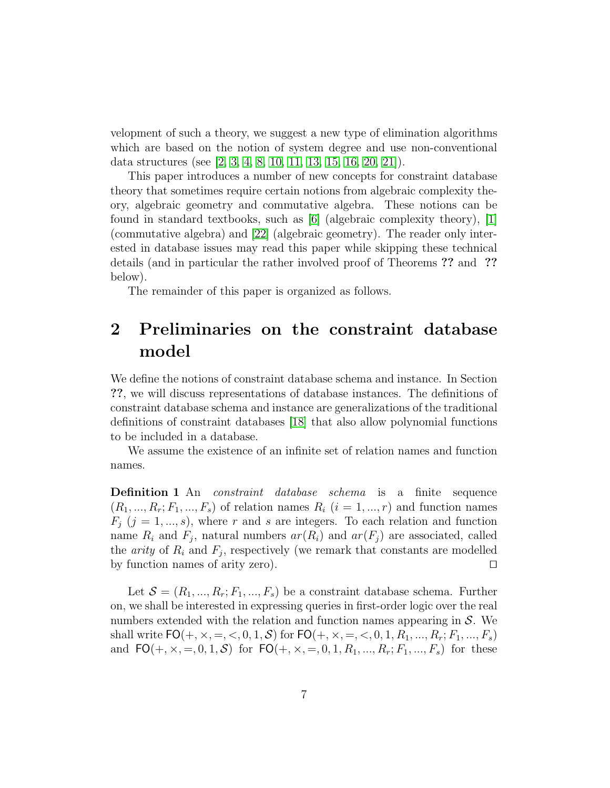velopment of such a theory, we suggest a new type of elimination algorithms which are based on the notion of system degree and use non-conventional data structures (see [\[2,](#page-42-0) [3,](#page-42-1) [4,](#page-42-2) [8,](#page-42-3) [10,](#page-43-4) [11,](#page-43-0) [13,](#page-43-5) [15,](#page-43-6) [16,](#page-43-7) [20,](#page-44-1) [21\]](#page-44-2)).

This paper introduces a number of new concepts for constraint database theory that sometimes require certain notions from algebraic complexity theory, algebraic geometry and commutative algebra. These notions can be found in standard textbooks, such as  $|6|$  (algebraic complexity theory),  $|1|$ (commutative algebra) and [\[22\]](#page-44-3) (algebraic geometry). The reader only interested in database issues may read this paper while skipping these technical details (and in particular the rather involved proof of Theorems ?? and ?? below).

The remainder of this paper is organized as follows.

# <span id="page-6-0"></span>2 Preliminaries on the constraint database model

We define the notions of constraint database schema and instance. In Section ??, we will discuss representations of database instances. The definitions of constraint database schema and instance are generalizations of the traditional definitions of constraint databases [\[18\]](#page-43-3) that also allow polynomial functions to be included in a database.

We assume the existence of an infinite set of relation names and function names.

Definition 1 An constraint database schema is a finite sequence  $(R_1, ..., R_r; F_1, ..., F_s)$  of relation names  $R_i$   $(i = 1, ..., r)$  and function names  $F_j$  (j = 1, ..., s), where r and s are integers. To each relation and function name  $R_i$  and  $F_j$ , natural numbers  $ar(R_i)$  and  $ar(F_j)$  are associated, called the *arity* of  $R_i$  and  $F_j$ , respectively (we remark that constants are modelled by function names of arity zero). ⊓⊔

Let  $\mathcal{S} = (R_1, ..., R_r; F_1, ..., F_s)$  be a constraint database schema. Further on, we shall be interested in expressing queries in first-order logic over the real numbers extended with the relation and function names appearing in  $S$ . We shall write  $FO(+, \times, =, <, 0, 1, S)$  for  $FO(+, \times, =, <, 0, 1, R_1, ..., R_r; F_1, ..., F_s)$ and  $FO(+, \times, =, 0, 1, S)$  for  $FO(+, \times, =, 0, 1, R_1, ..., R_r; F_1, ..., F_s)$  for these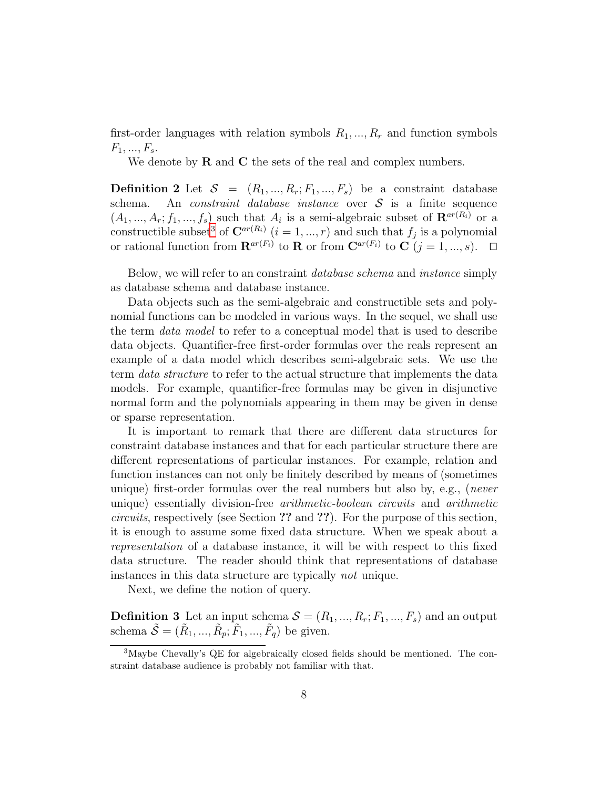first-order languages with relation symbols  $R_1, ..., R_r$  and function symbols  $F_1, ..., F_s.$ 

We denote by  **and**  $**C**$  **the sets of the real and complex numbers.** 

**Definition 2** Let  $S = (R_1, ..., R_r; F_1, ..., F_s)$  be a constraint database schema. An *constraint database instance* over S is a finite sequence An *constraint database instance* over  $S$  is a finite sequence  $(A_1, ..., A_r; f_1, ..., f_s)$  such that  $A_i$  is a semi-algebraic subset of  $\mathbf{R}^{ar(R_i)}$  or a constructible subset<sup>[3](#page-7-0)</sup> of  $\mathbf{C}^{ar(R_i)}$   $(i = 1, ..., r)$  and such that  $f_j$  is a polynomial or rational function from  $\mathbf{R}^{ar(F_i)}$  to  $\mathbf{R}$  or from  $\mathbf{C}^{ar(F_i)}$  to  $\mathbf{C}$   $(j = 1, ..., s)$ .  $\Box$ 

Below, we will refer to an constraint database schema and instance simply as database schema and database instance.

Data objects such as the semi-algebraic and constructible sets and polynomial functions can be modeled in various ways. In the sequel, we shall use the term data model to refer to a conceptual model that is used to describe data objects. Quantifier-free first-order formulas over the reals represent an example of a data model which describes semi-algebraic sets. We use the term data structure to refer to the actual structure that implements the data models. For example, quantifier-free formulas may be given in disjunctive normal form and the polynomials appearing in them may be given in dense or sparse representation.

It is important to remark that there are different data structures for constraint database instances and that for each particular structure there are different representations of particular instances. For example, relation and function instances can not only be finitely described by means of (sometimes unique) first-order formulas over the real numbers but also by, e.g., (never unique) essentially division-free arithmetic-boolean circuits and arithmetic circuits, respectively (see Section ?? and ??). For the purpose of this section, it is enough to assume some fixed data structure. When we speak about a representation of a database instance, it will be with respect to this fixed data structure. The reader should think that representations of database instances in this data structure are typically not unique.

Next, we define the notion of query.

**Definition 3** Let an input schema  $S = (R_1, ..., R_r; F_1, ..., F_s)$  and an output schema  $\tilde{\mathcal{S}} = (\tilde{R}_1, ..., \tilde{R}_p; \tilde{F}_1, ..., \tilde{F}_q)$  be given.

<span id="page-7-0"></span><sup>3</sup>Maybe Chevally's QE for algebraically closed fields should be mentioned. The constraint database audience is probably not familiar with that.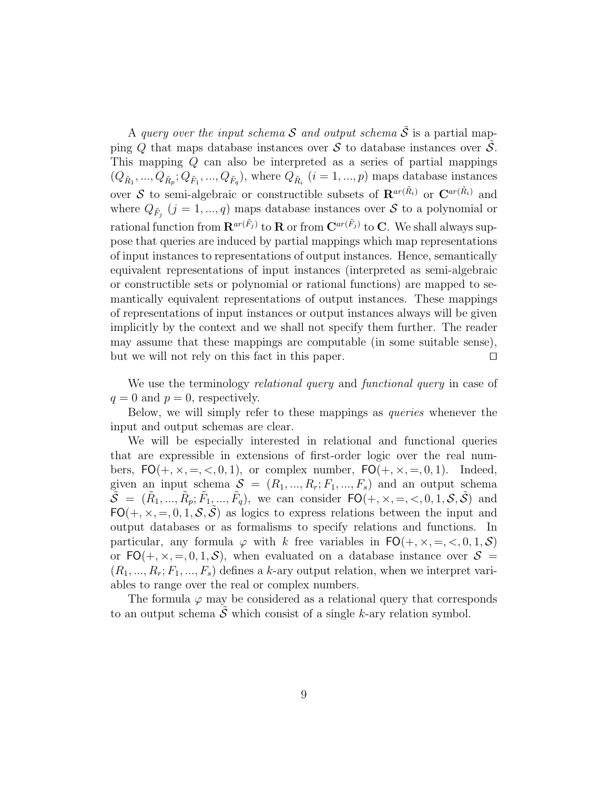A query over the input schema S and output schema  $\tilde{S}$  is a partial mapping  $Q$  that maps database instances over  $S$  to database instances over  $S$ . This mapping Q can also be interpreted as a series of partial mappings  $(Q_{\tilde{R}_1},...,Q_{\tilde{R}_p};Q_{\tilde{F}_1},...,Q_{\tilde{F}_q}),$  where  $Q_{\tilde{R}_i}$   $(i = 1,...,p)$  maps database instances over S to semi-algebraic or constructible subsets of  $\mathbf{R}^{ar(\tilde{R}_i)}$  or  $\mathbf{C}^{ar(\tilde{R}_i)}$  and where  $Q_{\tilde{F}_j}$   $(j = 1, ..., q)$  maps database instances over  $S$  to a polynomial or rational function from  $\mathbf{R}^{ar(\tilde{F}_j)}$  to  $\mathbf{R}$  or from  $\mathbf{C}^{ar(\tilde{F}_j)}$  to  $\mathbf{C}$ . We shall always suppose that queries are induced by partial mappings which map representations of input instances to representations of output instances. Hence, semantically equivalent representations of input instances (interpreted as semi-algebraic or constructible sets or polynomial or rational functions) are mapped to semantically equivalent representations of output instances. These mappings of representations of input instances or output instances always will be given implicitly by the context and we shall not specify them further. The reader may assume that these mappings are computable (in some suitable sense), but we will not rely on this fact in this paper. ⊓⊔

We use the terminology *relational query* and *functional query* in case of  $q = 0$  and  $p = 0$ , respectively.

Below, we will simply refer to these mappings as *queries* whenever the input and output schemas are clear.

We will be especially interested in relational and functional queries that are expressible in extensions of first-order logic over the real numbers,  $FO(+, \times, =, <, 0, 1)$ , or complex number,  $FO(+, \times, =, 0, 1)$ . Indeed, given an input schema  $S = (R_1, ..., R_r; F_1, ..., F_s)$  and an output schema  $\widetilde{\mathcal{S}} = (\widetilde{R}_1, ..., \widetilde{R}_p; \widetilde{F}_1, ..., \widetilde{F}_q)$ , we can consider  $\mathsf{FO}(+, \times, =, <, 0, 1, \mathcal{S}, \widetilde{\mathcal{S}})$  and  $FO(+, \times, =, 0, 1, S, S)$  as logics to express relations between the input and output databases or as formalisms to specify relations and functions. In particular, any formula  $\varphi$  with k free variables in  $FO(+, \times, =, <, 0, 1, S)$ or  $FO(+, \times, =, 0, 1, S)$ , when evaluated on a database instance over  $S =$  $(R_1, ..., R_r; F_1, ..., F_s)$  defines a k-ary output relation, when we interpret variables to range over the real or complex numbers.

The formula  $\varphi$  may be considered as a relational query that corresponds to an output schema  $\hat{\mathcal{S}}$  which consist of a single k-ary relation symbol.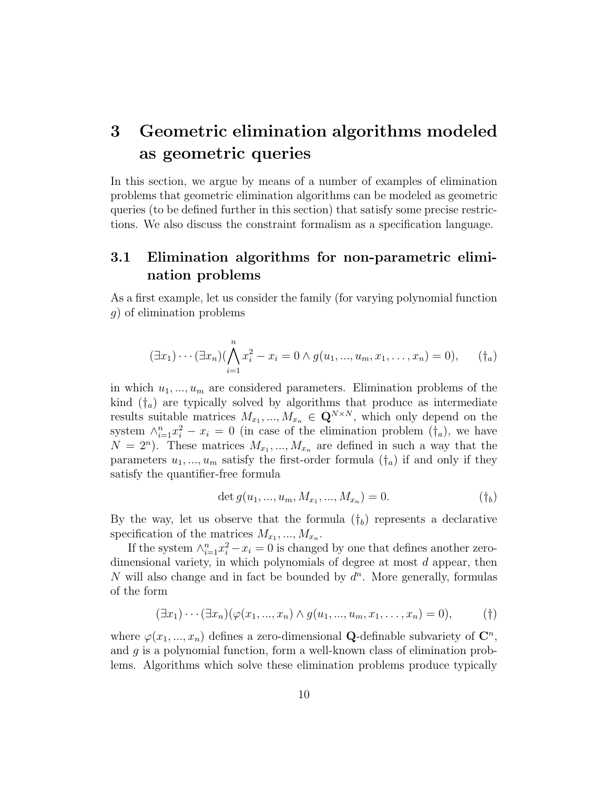# <span id="page-9-1"></span>3 Geometric elimination algorithms modeled as geometric queries

In this section, we argue by means of a number of examples of elimination problems that geometric elimination algorithms can be modeled as geometric queries (to be defined further in this section) that satisfy some precise restrictions. We also discuss the constraint formalism as a specification language.

## <span id="page-9-0"></span>3.1 Elimination algorithms for non-parametric elimination problems

As a first example, let us consider the family (for varying polynomial function g) of elimination problems

$$
(\exists x_1)\cdots(\exists x_n)(\bigwedge_{i=1}^n x_i^2 - x_i = 0 \land g(u_1, ..., u_m, x_1, ..., x_n) = 0), \quad (\dagger_a)
$$

in which  $u_1, \ldots, u_m$  are considered parameters. Elimination problems of the kind  $(\dagger_a)$  are typically solved by algorithms that produce as intermediate results suitable matrices  $M_{x_1},...,M_{x_n} \in \mathbf{Q}^{N \times N}$ , which only depend on the system  $\wedge_{i=1}^n x_i^2 - x_i = 0$  (in case of the elimination problem  $(\dagger_a)$ , we have  $N = 2<sup>n</sup>$ ). These matrices  $M_{x_1},...,M_{x_n}$  are defined in such a way that the parameters  $u_1, ..., u_m$  satisfy the first-order formula  $(\dagger_a)$  if and only if they satisfy the quantifier-free formula

$$
\det g(u_1, ..., u_m, M_{x_1}, ..., M_{x_n}) = 0.
$$
 (†<sub>b</sub>)

By the way, let us observe that the formula  $(\dagger_b)$  represents a declarative specification of the matrices  $M_{x_1}, ..., M_{x_n}$ .

If the system  $\wedge_{i=1}^n x_i^2 - x_i = 0$  is changed by one that defines another zerodimensional variety, in which polynomials of degree at most d appear, then  $N$  will also change and in fact be bounded by  $d<sup>n</sup>$ . More generally, formulas of the form

$$
(\exists x_1)\cdots(\exists x_n)(\varphi(x_1,...,x_n)\wedge g(u_1,...,u_m,x_1,...,x_n)=0), \qquad (\dagger)
$$

where  $\varphi(x_1, ..., x_n)$  defines a zero-dimensional **Q**-definable subvariety of  $\mathbb{C}^n$ , and g is a polynomial function, form a well-known class of elimination problems. Algorithms which solve these elimination problems produce typically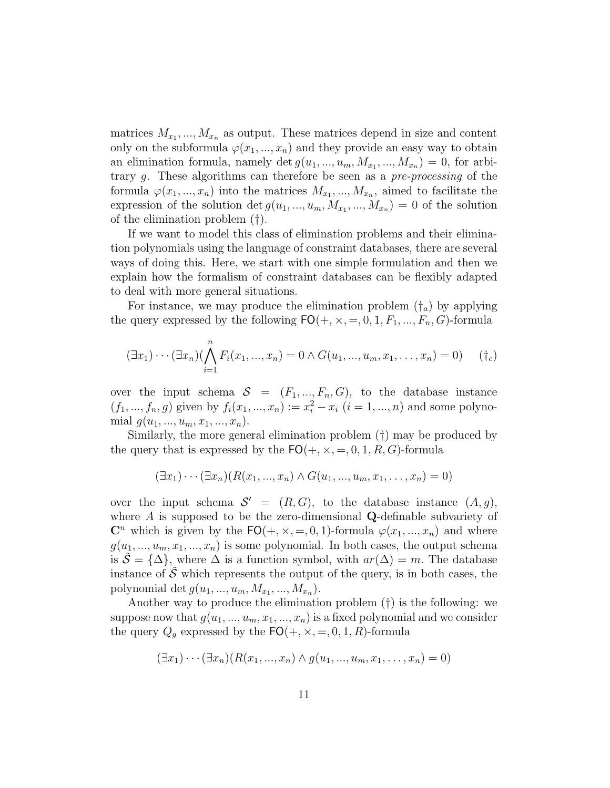matrices  $M_{x_1},...,M_{x_n}$  as output. These matrices depend in size and content only on the subformula  $\varphi(x_1, ..., x_n)$  and they provide an easy way to obtain an elimination formula, namely det  $g(u_1, ..., u_m, M_{x_1}, ..., M_{x_n}) = 0$ , for arbitrary g. These algorithms can therefore be seen as a pre-processing of the formula  $\varphi(x_1, ..., x_n)$  into the matrices  $M_{x_1}, ..., M_{x_n}$ , aimed to facilitate the expression of the solution det  $g(u_1, ..., u_m, M_{x_1}, ..., M_{x_n}) = 0$  of the solution of the elimination problem (†).

If we want to model this class of elimination problems and their elimination polynomials using the language of constraint databases, there are several ways of doing this. Here, we start with one simple formulation and then we explain how the formalism of constraint databases can be flexibly adapted to deal with more general situations.

For instance, we may produce the elimination problem  $(\dagger_a)$  by applying the query expressed by the following  $FO(+, \times, =, 0, 1, F_1, ..., F_n, G)$ -formula

$$
(\exists x_1) \cdots (\exists x_n) (\bigwedge_{i=1}^n F_i(x_1, ..., x_n) = 0 \land G(u_1, ..., u_m, x_1, ..., x_n) = 0) \quad (\dagger_c)
$$

over the input schema  $S = (F_1, ..., F_n, G)$ , to the database instance  $(f_1, ..., f_n, g)$  given by  $f_i(x_1, ..., x_n) := x_i^2 - x_i$   $(i = 1, ..., n)$  and some polynomial  $g(u_1, ..., u_m, x_1, ..., x_n)$ .

Similarly, the more general elimination problem (†) may be produced by the query that is expressed by the  $FO(+, \times, =, 0, 1, R, G)$ -formula

$$
(\exists x_1)\cdots(\exists x_n)(R(x_1,...,x_n)\wedge G(u_1,...,u_m,x_1,...,x_n)=0)
$$

over the input schema  $S' = (R, G)$ , to the database instance  $(A, g)$ , where A is supposed to be the zero-dimensional Q-definable subvariety of  $\mathbb{C}^n$  which is given by the  $\mathsf{FO}(+,\times,-,0,1)$ -formula  $\varphi(x_1,...,x_n)$  and where  $g(u_1, ..., u_m, x_1, ..., x_n)$  is some polynomial. In both cases, the output schema is  $\tilde{\mathcal{S}} = {\{\Delta\}}$ , where  $\Delta$  is a function symbol, with  $ar(\Delta) = m$ . The database instance of  $\tilde{\mathcal{S}}$  which represents the output of the query, is in both cases, the polynomial det  $g(u_1, ..., u_m, M_{x_1}, ..., M_{x_n}).$ 

Another way to produce the elimination problem (†) is the following: we suppose now that  $g(u_1, ..., u_m, x_1, ..., x_n)$  is a fixed polynomial and we consider the query  $Q_g$  expressed by the  $FO(+, \times, =, 0, 1, R)$ -formula

$$
(\exists x_1)\cdots(\exists x_n)(R(x_1,...,x_n)\wedge g(u_1,...,u_m,x_1,...,x_n)=0)
$$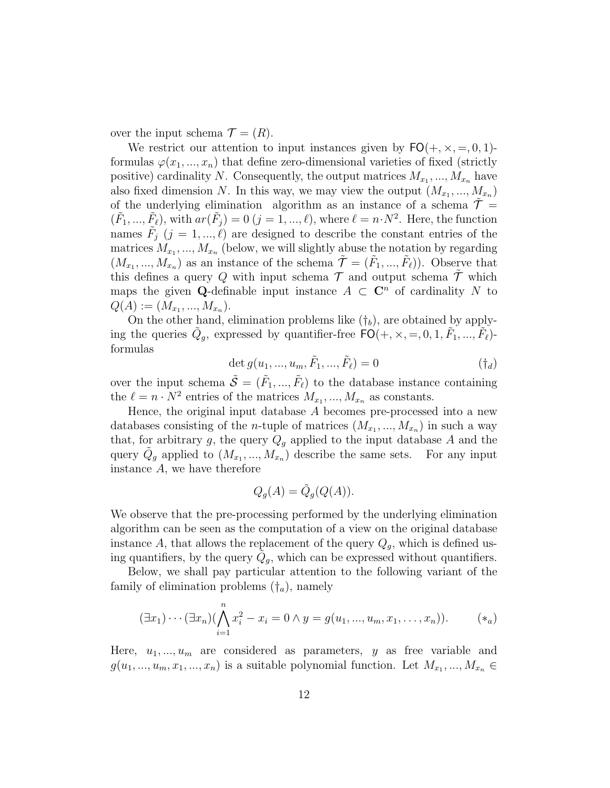over the input schema  $\mathcal{T} = (R)$ .

We restrict our attention to input instances given by  $FO(+, \times, =, 0, 1)$ formulas  $\varphi(x_1, ..., x_n)$  that define zero-dimensional varieties of fixed (strictly positive) cardinality N. Consequently, the output matrices  $M_{x_1}, ..., M_{x_n}$  have also fixed dimension N. In this way, we may view the output  $(M_{x_1},...,M_{x_n})$ of the underlying elimination algorithm as an instance of a schema  $\mathcal{T} =$  $(\tilde{F}_1, ..., \tilde{F}_\ell)$ , with  $ar(\tilde{F}_j) = 0$   $(j = 1, ..., \ell)$ , where  $\ell = n \cdot N^2$ . Here, the function names  $\tilde{F}_j$   $(j = 1, ..., \ell)$  are designed to describe the constant entries of the matrices  $M_{x_1},...,M_{x_n}$  (below, we will slightly abuse the notation by regarding  $(M_{x_1},...,M_{x_n})$  as an instance of the schema  $\tilde{\mathcal{T}} = (\tilde{F}_1,...,\tilde{F}_\ell)$ . Observe that this defines a query Q with input schema  $\mathcal T$  and output schema  $\mathcal T$  which maps the given Q-definable input instance  $A \subset \mathbb{C}^n$  of cardinality N to  $Q(A) := (M_{x_1}, ..., M_{x_n}).$ 

On the other hand, elimination problems like  $(\dagger_b)$ , are obtained by applying the queries  $\tilde{Q}_g$ , expressed by quantifier-free  $\tilde{FO}(+, \times, =, 0, 1, \tilde{F}_1, ..., \tilde{F}_\ell)$ formulas

$$
\det g(u_1, ..., u_m, \tilde{F}_1, ..., \tilde{F}_\ell) = 0
$$
\n(†*d*)

over the input schema  $\tilde{S} = (\tilde{F}_1, ..., \tilde{F}_\ell)$  to the database instance containing the  $\ell = n \cdot N^2$  entries of the matrices  $M_{x_1}, ..., M_{x_n}$  as constants.

Hence, the original input database  $A$  becomes pre-processed into a new databases consisting of the *n*-tuple of matrices  $(M_{x_1}, ..., M_{x_n})$  in such a way that, for arbitrary g, the query  $Q_g$  applied to the input database A and the query  $\tilde{Q}_g$  applied to  $(M_{x_1},...,M_{x_n})$  describe the same sets. For any input instance A, we have therefore

$$
Q_g(A) = \tilde{Q}_g(Q(A)).
$$

We observe that the pre-processing performed by the underlying elimination algorithm can be seen as the computation of a view on the original database instance A, that allows the replacement of the query  $Q_g$ , which is defined using quantifiers, by the query  $\tilde{Q}_g$ , which can be expressed without quantifiers.

Below, we shall pay particular attention to the following variant of the family of elimination problems  $(\dagger_a)$ , namely

$$
(\exists x_1)\cdots(\exists x_n)(\bigwedge_{i=1}^n x_i^2 - x_i = 0 \land y = g(u_1, ..., u_m, x_1, ..., x_n)).
$$
 (\*)

Here,  $u_1, ..., u_m$  are considered as parameters, y as free variable and  $g(u_1, ..., u_m, x_1, ..., x_n)$  is a suitable polynomial function. Let  $M_{x_1}, ..., M_{x_n} \in$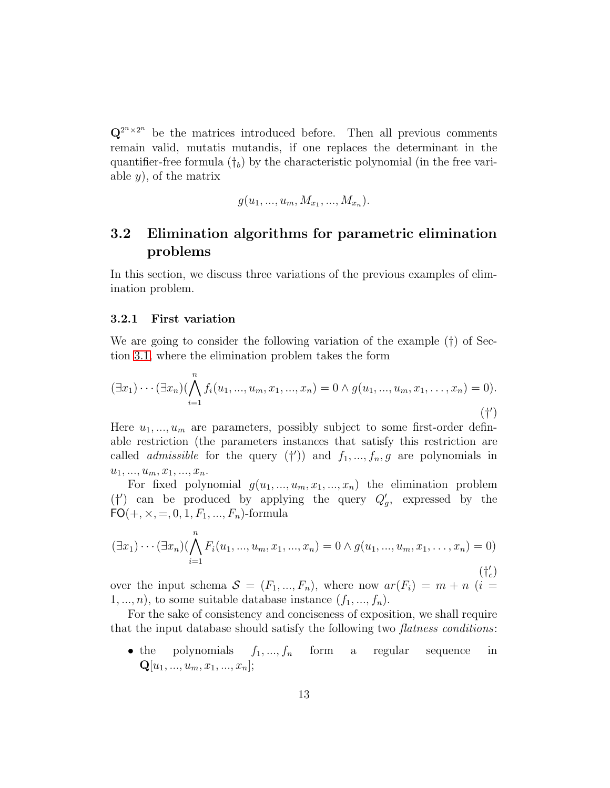$\mathbf{Q}^{2^{n}\times 2^{n}}$  be the matrices introduced before. Then all previous comments remain valid, mutatis mutandis, if one replaces the determinant in the quantifier-free formula  $(t_b)$  by the characteristic polynomial (in the free variable  $y$ , of the matrix

$$
g(u_1, ..., u_m, M_{x_1}, ..., M_{x_n}).
$$

### 3.2 Elimination algorithms for parametric elimination problems

In this section, we discuss three variations of the previous examples of elimination problem.

#### <span id="page-12-0"></span>3.2.1 First variation

We are going to consider the following variation of the example (†) of Section [3.1,](#page-9-0) where the elimination problem takes the form

$$
(\exists x_1) \cdots (\exists x_n) (\bigwedge_{i=1}^n f_i(u_1, ..., u_m, x_1, ..., x_n) = 0 \land g(u_1, ..., u_m, x_1, ..., x_n) = 0).
$$
\n
$$
(\dagger')
$$

Here  $u_1, ..., u_m$  are parameters, possibly subject to some first-order definable restriction (the parameters instances that satisfy this restriction are called *admissible* for the query  $(†')$  and  $f_1, ..., f_n, g$  are polynomials in  $u_1, \ldots, u_m, x_1, \ldots, x_n.$ 

For fixed polynomial  $g(u_1, ..., u_m, x_1, ..., x_n)$  the elimination problem  $( {\dagger}' )$  can be produced by applying the query  $Q_g'$ , expressed by the  $FO(+, \times, =, 0, 1, F_1, ..., F_n)$ -formula

$$
(\exists x_1) \cdots (\exists x_n) (\bigwedge_{i=1}^n F_i(u_1, ..., u_m, x_1, ..., x_n) = 0 \land g(u_1, ..., u_m, x_1, ..., x_n) = 0)
$$
\n
$$
(\dagger'_c)
$$
\n
$$
(f'_c)
$$

over the input schema  $S = (F_1, ..., F_n)$ , where now  $ar(F_i) = m + n$  (i =  $1, ..., n$ , to some suitable database instance  $(f_1, ..., f_n)$ .

For the sake of consistency and conciseness of exposition, we shall require that the input database should satisfy the following two flatness conditions:

• the polynomials  $f_1, ..., f_n$  form a regular sequence in  ${\bf Q}[u_1,...,u_m,x_1,...,x_n];$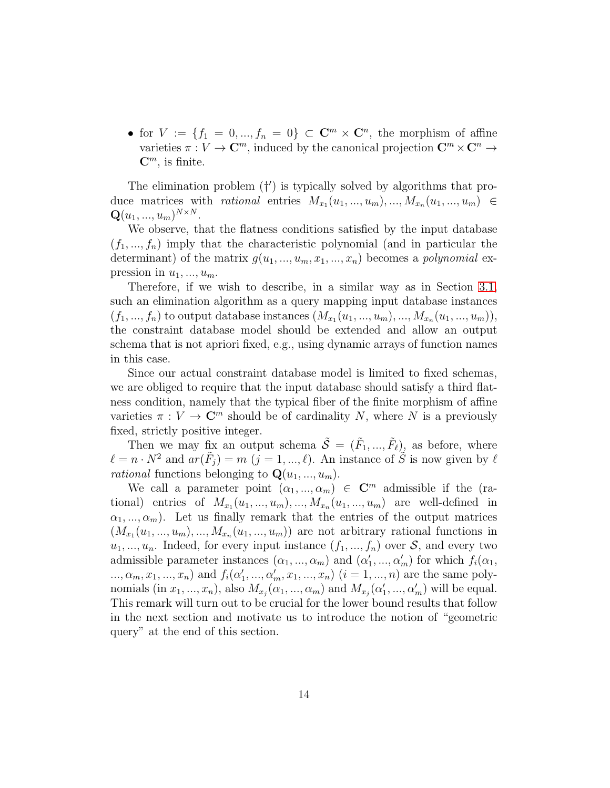• for  $V := \{f_1 = 0, ..., f_n = 0\} \subset \mathbb{C}^m \times \mathbb{C}^n$ , the morphism of affine varieties  $\pi : V \to \mathbb{C}^m$ , induced by the canonical projection  $\mathbb{C}^m \times \mathbb{C}^n \to$  $\mathbf{C}^m$ , is finite.

The elimination problem  $(†')$  is typically solved by algorithms that produce matrices with *rational* entries  $M_{x_1}(u_1, ..., u_m), ..., M_{x_n}(u_1, ..., u_m) \in$  ${\bf Q}(u_1,...,u_m)^{N \times N}.$ 

We observe, that the flatness conditions satisfied by the input database  $(f_1, ..., f_n)$  imply that the characteristic polynomial (and in particular the determinant) of the matrix  $g(u_1, ..., u_m, x_1, ..., x_n)$  becomes a *polynomial* expression in  $u_1, \ldots, u_m$ .

Therefore, if we wish to describe, in a similar way as in Section [3.1,](#page-9-0) such an elimination algorithm as a query mapping input database instances  $(f_1, ..., f_n)$  to output database instances  $(M_{x_1}(u_1, ..., u_m), ..., M_{x_n}(u_1, ..., u_m)),$ the constraint database model should be extended and allow an output schema that is not apriori fixed, e.g., using dynamic arrays of function names in this case.

Since our actual constraint database model is limited to fixed schemas, we are obliged to require that the input database should satisfy a third flatness condition, namely that the typical fiber of the finite morphism of affine varieties  $\pi: V \to \mathbb{C}^m$  should be of cardinality N, where N is a previously fixed, strictly positive integer.

Then we may fix an output schema  $\tilde{S} = (\tilde{F}_1, ..., \tilde{F}_\ell)$  as before, where  $\ell = n \cdot N^2$  and  $ar(\tilde{F}_j) = m$   $(j = 1, ..., \ell)$ . An instance of  $\tilde{S}$  is now given by  $\ell$ *rational* functions belonging to  $\mathbf{Q}(u_1, ..., u_m)$ .

We call a parameter point  $(\alpha_1, ..., \alpha_m) \in \mathbb{C}^m$  admissible if the (rational) entries of  $M_{x_1}(u_1, ..., u_m), \ldots, M_{x_n}(u_1, ..., u_m)$  are well-defined in  $(\alpha_1, ..., \alpha_m)$ . Let us finally remark that the entries of the output matrices  $(M_{x_1}(u_1, ..., u_m), ..., M_{x_n}(u_1, ..., u_m))$  are not arbitrary rational functions in  $u_1, ..., u_n$ . Indeed, for every input instance  $(f_1, ..., f_n)$  over  $S$ , and every two admissible parameter instances  $(\alpha_1, ..., \alpha_m)$  and  $(\alpha'_1, ..., \alpha'_m)$  for which  $f_i(\alpha_1, ..., \alpha'_m)$ ...,  $\alpha_m, x_1, ..., x_n$  and  $f_i(\alpha'_1, ..., \alpha'_m, x_1, ..., x_n)$   $(i = 1, ..., n)$  are the same polynomials (in  $x_1, ..., x_n$ ), also  $M_{x_j}(\alpha_1, ..., \alpha_m)$  and  $M_{x_j}(\alpha'_1, ..., \alpha'_m)$  will be equal. This remark will turn out to be crucial for the lower bound results that follow in the next section and motivate us to introduce the notion of "geometric query" at the end of this section.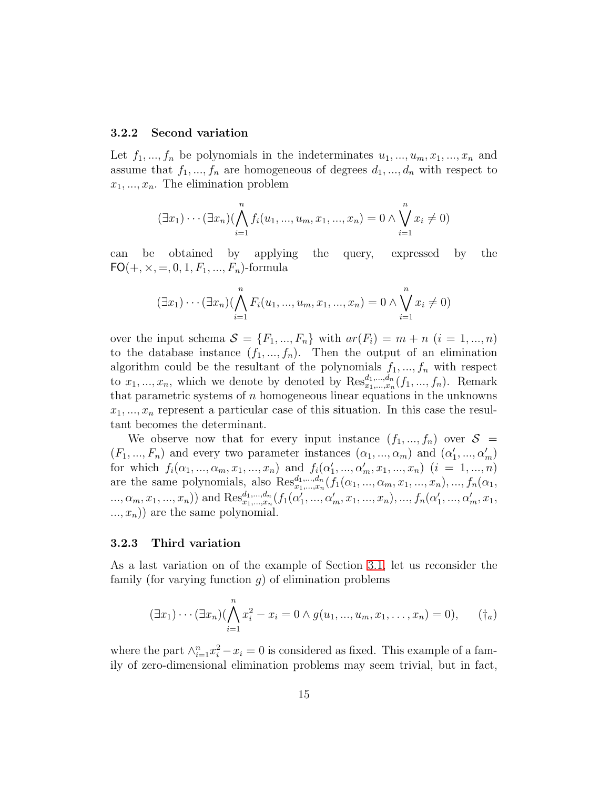#### 3.2.2 Second variation

Let  $f_1, ..., f_n$  be polynomials in the indeterminates  $u_1, ..., u_m, x_1, ..., x_n$  and assume that  $f_1, ..., f_n$  are homogeneous of degrees  $d_1, ..., d_n$  with respect to  $x_1, \ldots, x_n$ . The elimination problem

$$
(\exists x_1) \cdots (\exists x_n) (\bigwedge_{i=1}^n f_i(u_1, ..., u_m, x_1, ..., x_n) = 0 \land \bigvee_{i=1}^n x_i \neq 0)
$$

can be obtained by applying the query, expressed by the  $FO(+, \times, =, 0, 1, F_1, ..., F_n)$ -formula

$$
(\exists x_1) \cdots (\exists x_n) (\bigwedge_{i=1}^n F_i(u_1, ..., u_m, x_1, ..., x_n) = 0 \land \bigvee_{i=1}^n x_i \neq 0)
$$

over the input schema  $S = \{F_1, ..., F_n\}$  with  $ar(F_i) = m + n$   $(i = 1, ..., n)$ to the database instance  $(f_1, ..., f_n)$ . Then the output of an elimination algorithm could be the resultant of the polynomials  $f_1, ..., f_n$  with respect to  $x_1, ..., x_n$ , which we denote by denoted by  $\text{Res}_{x_1, ..., x_n}^{d_1, ..., d_n}(f_1, ..., f_n)$ . Remark that parametric systems of  $n$  homogeneous linear equations in the unknowns  $x_1, \ldots, x_n$  represent a particular case of this situation. In this case the resultant becomes the determinant.

We observe now that for every input instance  $(f_1, ..., f_n)$  over  $S =$  $(F_1, ..., F_n)$  and every two parameter instances  $(\alpha_1, ..., \alpha_m)$  and  $(\alpha'_1, ..., \alpha'_m)$ for which  $f_i(\alpha_1, ..., \alpha_m, x_1, ..., x_n)$  and  $f_i(\alpha'_1, ..., \alpha'_m, x_1, ..., x_n)$   $(i = 1, ..., n)$ are the same polynomials, also  $\text{Res}_{x_1,\dots,x_n}^{d_1,\dots,d_n}(f_1(\alpha_1,\dots,\alpha_m,x_1,\dots,x_n),...,f_n(\alpha_1,\dots,\alpha_m,x_n))$ ...,  $\alpha_m, x_1, ..., x_n$ ) and  $\text{Res}_{x_1, ..., x_n}^{d_1, ..., d_n} (f_1(\alpha'_1, ..., \alpha'_m, x_1, ..., x_n), ..., f_n(\alpha'_1, ..., \alpha'_m, x_1,$  $..., x_n)$  are the same polynomial.

#### <span id="page-14-0"></span>3.2.3 Third variation

As a last variation on of the example of Section [3.1,](#page-9-0) let us reconsider the family (for varying function  $q$ ) of elimination problems

$$
(\exists x_1)\cdots(\exists x_n)(\bigwedge_{i=1}^n x_i^2 - x_i = 0 \land g(u_1, ..., u_m, x_1, ..., x_n) = 0), \qquad (\dagger_a)
$$

where the part  $\wedge_{i=1}^{n} x_i^2 - x_i = 0$  is considered as fixed. This example of a family of zero-dimensional elimination problems may seem trivial, but in fact,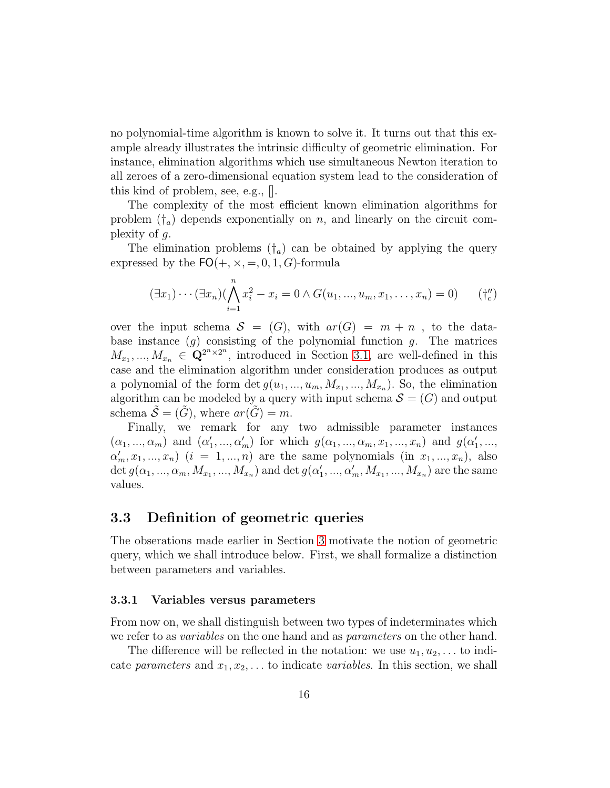no polynomial-time algorithm is known to solve it. It turns out that this example already illustrates the intrinsic difficulty of geometric elimination. For instance, elimination algorithms which use simultaneous Newton iteration to all zeroes of a zero-dimensional equation system lead to the consideration of this kind of problem, see, e.g., [].

The complexity of the most efficient known elimination algorithms for problem  $(\dagger_a)$  depends exponentially on n, and linearly on the circuit complexity of  $g$ .

The elimination problems  $(\dagger_a)$  can be obtained by applying the query expressed by the  $FO(+, \times, =, 0, 1, G)$ -formula

$$
(\exists x_1)\cdots(\exists x_n)(\bigwedge_{i=1}^n x_i^2 - x_i = 0 \land G(u_1, ..., u_m, x_1, ..., x_n) = 0)
$$
 (†*''*<sub>c</sub>)

over the input schema  $S = (G)$ , with  $ar(G) = m + n$ , to the database instance  $(g)$  consisting of the polynomial function g. The matrices  $M_{x_1},...,M_{x_n} \in \mathbf{Q}^{2^n \times 2^n}$ , introduced in Section [3.1,](#page-9-0) are well-defined in this case and the elimination algorithm under consideration produces as output a polynomial of the form  $\det g(u_1, ..., u_m, M_{x_1}, ..., M_{x_n})$ . So, the elimination algorithm can be modeled by a query with input schema  $S = (G)$  and output schema  $\mathcal{S} = (\tilde{G})$ , where  $ar(\tilde{G}) = m$ .

Finally, we remark for any two admissible parameter instances  $(\alpha_1, ..., \alpha_m)$  and  $(\alpha'_1, ..., \alpha'_m)$  for which  $g(\alpha_1, ..., \alpha_m, x_1, ..., x_n)$  and  $g(\alpha'_1, ..., \alpha'_m)$  $\alpha'_m, x_1, ..., x_n$ )  $(i = 1, ..., n)$  are the same polynomials (in  $x_1, ..., x_n$ ), also det  $g(\alpha_1, ..., \alpha_m, M_{x_1}, ..., M_{x_n})$  and det  $g(\alpha'_1, ..., \alpha'_m, M_{x_1}, ..., M_{x_n})$  are the same values.

### 3.3 Definition of geometric queries

The obserations made earlier in Section [3](#page-9-1) motivate the notion of geometric query, which we shall introduce below. First, we shall formalize a distinction between parameters and variables.

#### 3.3.1 Variables versus parameters

From now on, we shall distinguish between two types of indeterminates which we refer to as *variables* on the one hand and as *parameters* on the other hand.

The difference will be reflected in the notation: we use  $u_1, u_2, \ldots$  to indicate parameters and  $x_1, x_2, \ldots$  to indicate variables. In this section, we shall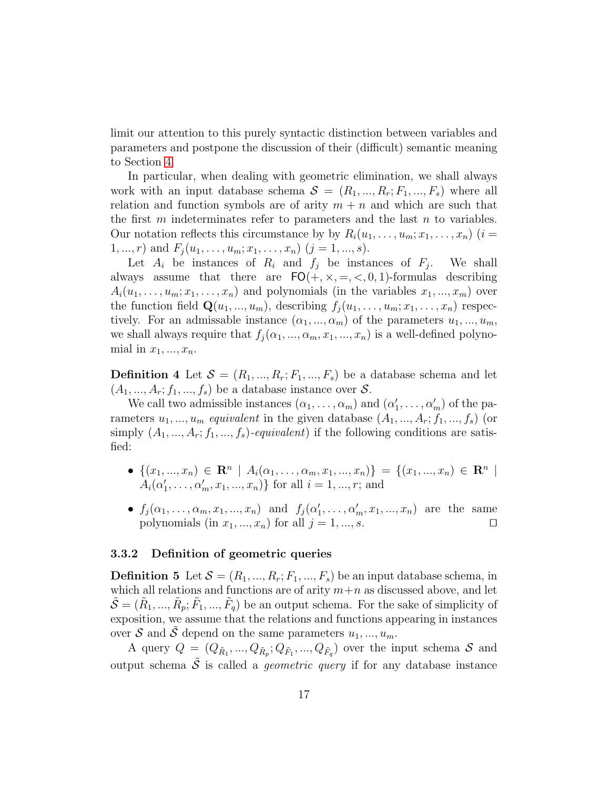limit our attention to this purely syntactic distinction between variables and parameters and postpone the discussion of their (difficult) semantic meaning to Section [4.](#page-21-0)

In particular, when dealing with geometric elimination, we shall always work with an input database schema  $S = (R_1, ..., R_r; F_1, ..., F_s)$  where all relation and function symbols are of arity  $m + n$  and which are such that the first  $m$  indeterminates refer to parameters and the last  $n$  to variables. Our notation reflects this circumstance by by  $R_i(u_1, \ldots, u_m; x_1, \ldots, x_n)$  (i =  $1, ..., r$ ) and  $F_j(u_1, ..., u_m; x_1, ..., x_n)$   $(j = 1, ..., s)$ .

Let  $A_i$  be instances of  $R_i$  and  $f_j$  be instances of  $F_j$ . . We shall always assume that there are  $FO(+, \times, =, <, 0, 1)$ -formulas describing  $A_i(u_1, \ldots, u_m; x_1, \ldots, x_n)$  and polynomials (in the variables  $x_1, \ldots, x_m$ ) over the function field  $\mathbf{Q}(u_1, ..., u_m)$ , describing  $f_i(u_1, ..., u_m; x_1, ..., x_n)$  respectively. For an admissable instance  $(\alpha_1, ..., \alpha_m)$  of the parameters  $u_1, ..., u_m$ , we shall always require that  $f_j(\alpha_1, ..., \alpha_m, x_1, ..., x_n)$  is a well-defined polynomial in  $x_1, \ldots, x_n$ .

**Definition 4** Let  $\mathcal{S} = (R_1, ..., R_r; F_1, ..., F_s)$  be a database schema and let  $(A_1, ..., A_r; f_1, ..., f_s)$  be a database instance over S.

We call two admissible instances  $(\alpha_1, \ldots, \alpha_m)$  and  $(\alpha'_1, \ldots, \alpha'_m)$  of the parameters  $u_1, ..., u_m$  equivalent in the given database  $(A_1, ..., A_r; f_1, ..., f_s)$  (or simply  $(A_1, ..., A_r; f_1, ..., f_s)$ -equivalent) if the following conditions are satisfied:

- $\{(x_1, ..., x_n) \in \mathbb{R}^n \mid A_i(\alpha_1, ..., \alpha_m, x_1, ..., x_n)\} = \{(x_1, ..., x_n) \in \mathbb{R}^n \mid A_i(\alpha_1, ..., \alpha_m, x_1, ..., x_n)\}$  $A_i(\alpha'_1, \ldots, \alpha'_m, x_1, \ldots, x_n)$  for all  $i = 1, \ldots, r$ ; and
- $f_j(\alpha_1, ..., \alpha_m, x_1, ..., x_n)$  and  $f_j(\alpha'_1, ..., \alpha'_m, x_1, ..., x_n)$  are the same polynomials (in  $x_1, ..., x_n$ ) for all  $j = 1, ..., s$ . □

#### 3.3.2 Definition of geometric queries

**Definition 5** Let  $\mathcal{S} = (R_1, ..., R_r; F_1, ..., F_s)$  be an input database schema, in which all relations and functions are of arity  $m+n$  as discussed above, and let  $\tilde{S} = (\tilde{R}_1, ..., \tilde{R}_p; \tilde{F}_1, ..., \tilde{F}_q)$  be an output schema. For the sake of simplicity of exposition, we assume that the relations and functions appearing in instances over S and S depend on the same parameters  $u_1, ..., u_m$ .

A query  $Q = (Q_{\tilde{R}_1},...,Q_{\tilde{R}_p};Q_{\tilde{F}_1},...,Q_{\tilde{F}_q})$  over the input schema  $S$  and output schema  $\tilde{\mathcal{S}}$  is called a *geometric query* if for any database instance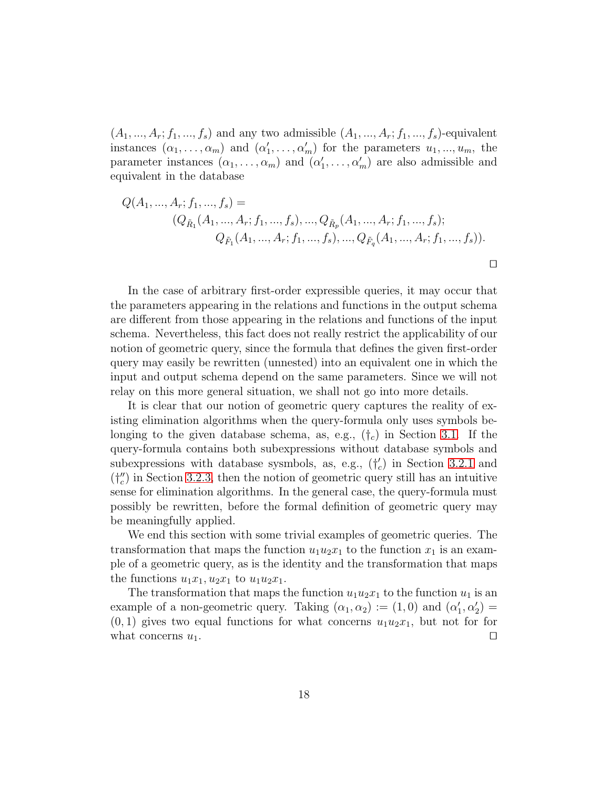$(A_1, ..., A_r; f_1, ..., f_s)$  and any two admissible  $(A_1, ..., A_r; f_1, ..., f_s)$ -equivalent instances  $(\alpha_1, \ldots, \alpha_m)$  and  $(\alpha'_1, \ldots, \alpha'_m)$  for the parameters  $u_1, \ldots, u_m$ , the parameter instances  $(\alpha_1, \ldots, \alpha_m)$  and  $(\alpha'_1, \ldots, \alpha'_m)$  are also admissible and equivalent in the database

$$
Q(A_1, ..., A_r; f_1, ..., f_s) =
$$
  
\n
$$
(Q_{\tilde{R}_1}(A_1, ..., A_r; f_1, ..., f_s), ..., Q_{\tilde{R}_p}(A_1, ..., A_r; f_1, ..., f_s);
$$
  
\n
$$
Q_{\tilde{F}_1}(A_1, ..., A_r; f_1, ..., f_s), ..., Q_{\tilde{F}_q}(A_1, ..., A_r; f_1, ..., f_s)).
$$

⊓⊔

In the case of arbitrary first-order expressible queries, it may occur that the parameters appearing in the relations and functions in the output schema are different from those appearing in the relations and functions of the input schema. Nevertheless, this fact does not really restrict the applicability of our notion of geometric query, since the formula that defines the given first-order query may easily be rewritten (unnested) into an equivalent one in which the input and output schema depend on the same parameters. Since we will not relay on this more general situation, we shall not go into more details.

It is clear that our notion of geometric query captures the reality of existing elimination algorithms when the query-formula only uses symbols belonging to the given database schema, as, e.g.,  $(t_c)$  in Section [3.1.](#page-9-0) If the query-formula contains both subexpressions without database symbols and subexpressions with database sysmbols, as, e.g.,  $(\dagger_c)$  in Section [3.2.1](#page-12-0) and  $(\dagger''_c)$  in Section [3.2.3,](#page-14-0) then the notion of geometric query still has an intuitive sense for elimination algorithms. In the general case, the query-formula must possibly be rewritten, before the formal definition of geometric query may be meaningfully applied.

We end this section with some trivial examples of geometric queries. The transformation that maps the function  $u_1u_2x_1$  to the function  $x_1$  is an example of a geometric query, as is the identity and the transformation that maps the functions  $u_1x_1, u_2x_1$  to  $u_1u_2x_1$ .

The transformation that maps the function  $u_1u_2x_1$  to the function  $u_1$  is an example of a non-geometric query. Taking  $(\alpha_1, \alpha_2) := (1, 0)$  and  $(\alpha'_1, \alpha'_2) =$  $(0, 1)$  gives two equal functions for what concerns  $u_1u_2x_1$ , but not for for what concerns  $u_1$ . □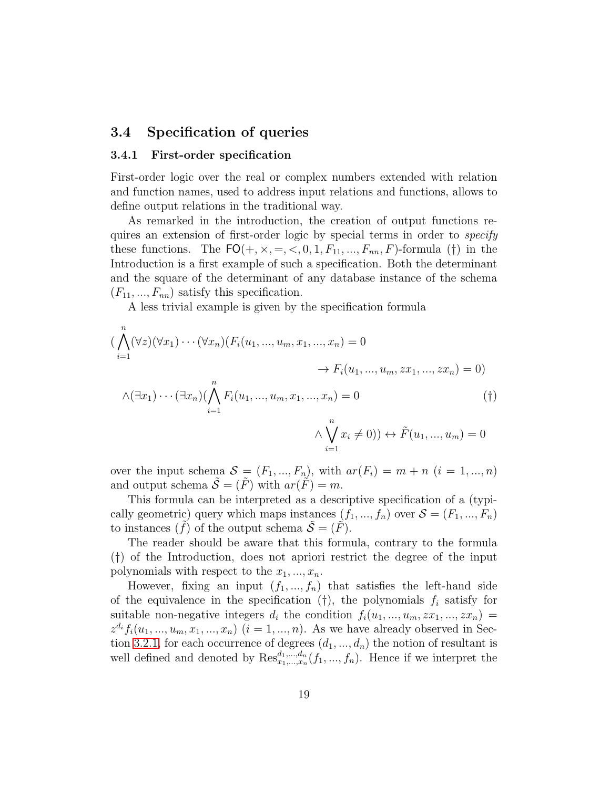### 3.4 Specification of queries

#### 3.4.1 First-order specification

First-order logic over the real or complex numbers extended with relation and function names, used to address input relations and functions, allows to define output relations in the traditional way.

As remarked in the introduction, the creation of output functions requires an extension of first-order logic by special terms in order to *specify* these functions. The  $FO(+, \times, =, <, 0, 1, F_{11}, ..., F_{nn}, F)$ -formula (†) in the Introduction is a first example of such a specification. Both the determinant and the square of the determinant of any database instance of the schema  $(F_{11}, ..., F_{nn})$  satisfy this specification.

A less trivial example is given by the specification formula

$$
(\bigwedge_{i=1}^{n} (\forall z)(\forall x_1) \cdots (\forall x_n) (F_i(u_1, ..., u_m, x_1, ..., x_n) = 0
$$
  
\n
$$
\rightarrow F_i(u_1, ..., u_m, zx_1, ..., zx_n) = 0)
$$
  
\n
$$
\land (\exists x_1) \cdots (\exists x_n) (\bigwedge_{i=1}^{n} F_i(u_1, ..., u_m, x_1, ..., x_n) = 0
$$
  
\n
$$
\land \bigvee_{i=1}^{n} x_i \neq 0)) \leftrightarrow \tilde{F}(u_1, ..., u_m) = 0
$$
  
\n(†)

over the input schema  $\mathcal{S} = (F_1, ..., F_n)$ , with  $ar(F_i) = m + n$   $(i = 1, ..., n)$ and output schema  $\tilde{\mathcal{S}} = (\tilde{F})$  with  $ar(\tilde{F}) = m$ .

This formula can be interpreted as a descriptive specification of a (typically geometric) query which maps instances  $(f_1, ..., f_n)$  over  $S = (F_1, ..., F_n)$ to instances  $(f)$  of the output schema  $\mathcal{S} = (F)$ .

The reader should be aware that this formula, contrary to the formula (†) of the Introduction, does not apriori restrict the degree of the input polynomials with respect to the  $x_1, ..., x_n$ .

However, fixing an input  $(f_1, ..., f_n)$  that satisfies the left-hand side of the equivalence in the specification (†), the polynomials  $f_i$  satisfy for suitable non-negative integers  $d_i$  the condition  $f_i(u_1, ..., u_m, zx_1, ..., zx_n)$  $z^{d_i} f_i(u_1, ..., u_m, x_1, ..., x_n)$   $(i = 1, ..., n)$ . As we have already observed in Sec-tion [3.2.1,](#page-12-0) for each occurrence of degrees  $(d_1, ..., d_n)$  the notion of resultant is well defined and denoted by  $\text{Res}_{x_1,\dots,x_n}^{d_1,\dots,d_n}(f_1,\dots,f_n)$ . Hence if we interpret the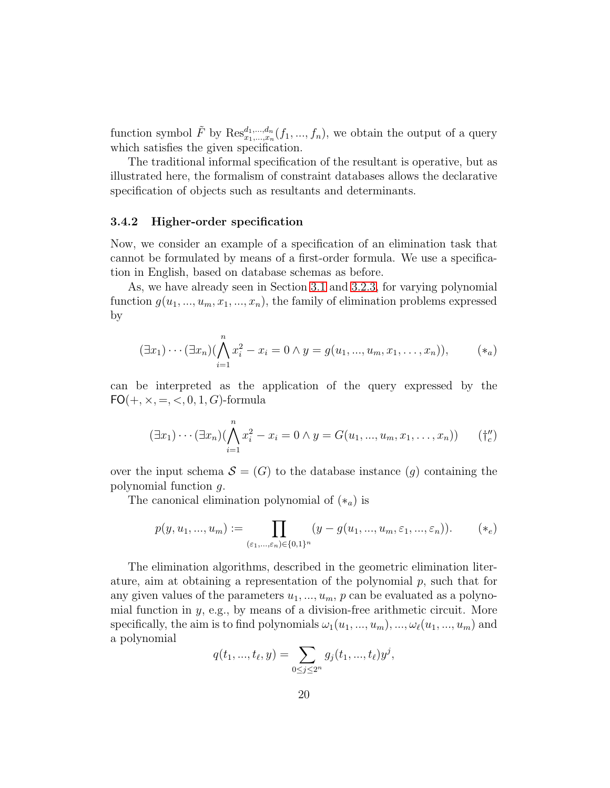function symbol  $\tilde{F}$  by  $\text{Res}_{x_1,\dots,x_n}^{d_1,\dots,d_n}(f_1,...,f_n)$ , we obtain the output of a query which satisfies the given specification.

The traditional informal specification of the resultant is operative, but as illustrated here, the formalism of constraint databases allows the declarative specification of objects such as resultants and determinants.

#### 3.4.2 Higher-order specification

Now, we consider an example of a specification of an elimination task that cannot be formulated by means of a first-order formula. We use a specification in English, based on database schemas as before.

As, we have already seen in Section [3.1](#page-9-0) and [3.2.3,](#page-14-0) for varying polynomial function  $g(u_1, ..., u_m, x_1, ..., x_n)$ , the family of elimination problems expressed by

$$
(\exists x_1)\cdots(\exists x_n)(\bigwedge_{i=1}^n x_i^2 - x_i = 0 \land y = g(u_1, ..., u_m, x_1, ..., x_n)), \qquad (*)
$$

can be interpreted as the application of the query expressed by the  $FO(+, \times, =, <, 0, 1, G)$ -formula

$$
(\exists x_1) \cdots (\exists x_n) (\bigwedge_{i=1}^n x_i^2 - x_i = 0 \land y = G(u_1, ..., u_m, x_1, ..., x_n)) \qquad (\dagger''_c)
$$

over the input schema  $\mathcal{S} = (G)$  to the database instance  $(g)$  containing the polynomial function g.

The canonical elimination polynomial of  $(*_a)$  is

$$
p(y, u_1, ..., u_m) := \prod_{(\varepsilon_1, ..., \varepsilon_n) \in \{0, 1\}^n} (y - g(u_1, ..., u_m, \varepsilon_1, ..., \varepsilon_n)).
$$
 (\*)

The elimination algorithms, described in the geometric elimination literature, aim at obtaining a representation of the polynomial  $p$ , such that for any given values of the parameters  $u_1, ..., u_m$ , p can be evaluated as a polynomial function in y, e.g., by means of a division-free arithmetic circuit. More specifically, the aim is to find polynomials  $\omega_1(u_1, ..., u_m), ..., \omega_\ell(u_1, ..., u_m)$  and a polynomial

$$
q(t_1, ..., t_\ell, y) = \sum_{0 \le j \le 2^n} g_j(t_1, ..., t_\ell) y^j,
$$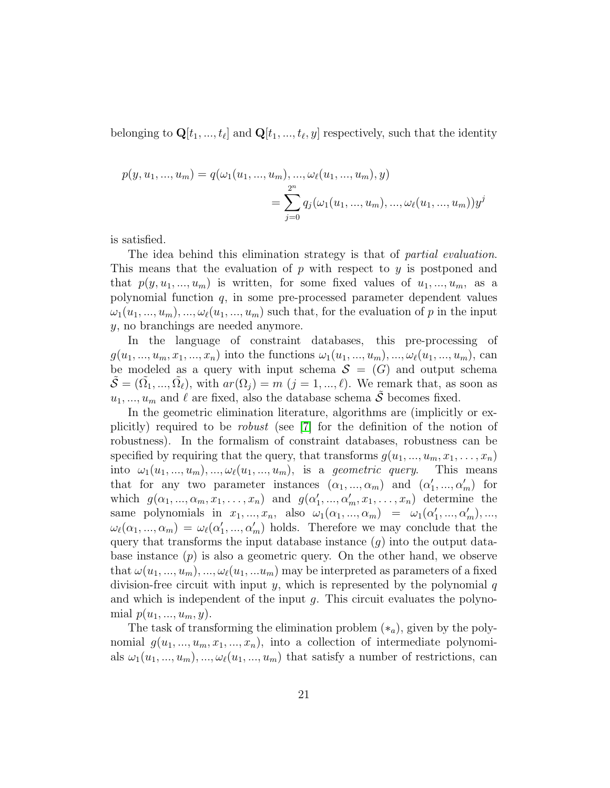belonging to  $\mathbf{Q}[t_1, ..., t_\ell]$  and  $\mathbf{Q}[t_1, ..., t_\ell, y]$  respectively, such that the identity

$$
p(y, u_1, ..., u_m) = q(\omega_1(u_1, ..., u_m), ..., \omega_\ell(u_1, ..., u_m), y)
$$
  
= 
$$
\sum_{j=0}^{2^n} q_j(\omega_1(u_1, ..., u_m), ..., \omega_\ell(u_1, ..., u_m))y^j
$$

is satisfied.

The idea behind this elimination strategy is that of *partial evaluation*. This means that the evaluation of  $p$  with respect to  $y$  is postponed and that  $p(y, u_1, ..., u_m)$  is written, for some fixed values of  $u_1, ..., u_m$ , as a polynomial function q, in some pre-processed parameter dependent values  $\omega_1(u_1, ..., u_m), \ldots, \omega_\ell(u_1, ..., u_m)$  such that, for the evaluation of p in the input y, no branchings are needed anymore.

In the language of constraint databases, this pre-processing of  $g(u_1, ..., u_m, x_1, ..., x_n)$  into the functions  $\omega_1(u_1, ..., u_m), ..., \omega_\ell(u_1, ..., u_m)$ , can be modeled as a query with input schema  $S = (G)$  and output schema  $\tilde{\mathcal{S}} = (\tilde{\Omega_1}, ..., \tilde{\Omega_\ell})$ , with  $ar(\Omega_j) = m$   $(j = 1, ..., \ell)$ . We remark that, as soon as  $u_1, ..., u_m$  and  $\ell$  are fixed, also the database schema  $\tilde{S}$  becomes fixed.

In the geometric elimination literature, algorithms are (implicitly or explicitly) required to be robust (see [\[7\]](#page-42-6) for the definition of the notion of robustness). In the formalism of constraint databases, robustness can be specified by requiring that the query, that transforms  $g(u_1, ..., u_m, x_1, ..., x_n)$ into  $\omega_1(u_1, ..., u_m), ..., \omega_\ell(u_1, ..., u_m)$ , is a *geometric query*. This means that for any two parameter instances  $(\alpha_1, ..., \alpha_m)$  and  $(\alpha'_1, ..., \alpha'_m)$  for which  $g(\alpha_1, ..., \alpha_m, x_1, ..., x_n)$  and  $g(\alpha'_1, ..., \alpha'_m, x_1, ..., x_n)$  determine the same polynomials in  $x_1, ..., x_n$ , also  $\omega_1(\alpha_1, ..., \alpha_m) = \omega_1(\alpha'_1, ..., \alpha'_m), ...,$  $\omega_{\ell}(\alpha_1, ..., \alpha_m) = \omega_{\ell}(\alpha'_1, ..., \alpha'_m)$  holds. Therefore we may conclude that the query that transforms the input database instance  $(g)$  into the output database instance  $(p)$  is also a geometric query. On the other hand, we observe that  $\omega(u_1, ..., u_m), ..., \omega_{\ell}(u_1, ..., u_m)$  may be interpreted as parameters of a fixed division-free circuit with input  $y$ , which is represented by the polynomial  $q$ and which is independent of the input  $q$ . This circuit evaluates the polynomial  $p(u_1, ..., u_m, y)$ .

The task of transforming the elimination problem  $(*_a)$ , given by the polynomial  $g(u_1, ..., u_m, x_1, ..., x_n)$ , into a collection of intermediate polynomials  $\omega_1(u_1, ..., u_m), ..., \omega_\ell(u_1, ..., u_m)$  that satisfy a number of restrictions, can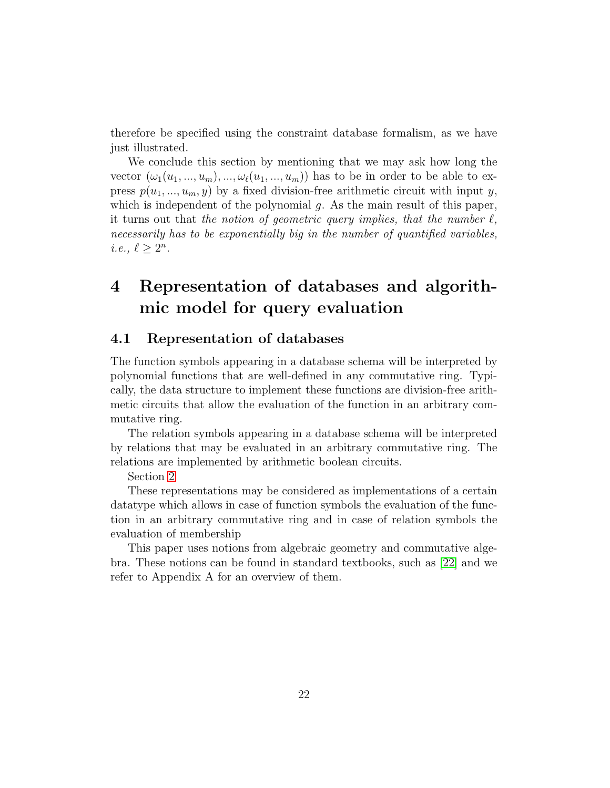therefore be specified using the constraint database formalism, as we have just illustrated.

We conclude this section by mentioning that we may ask how long the vector  $(\omega_1(u_1, ..., u_m), ..., \omega_\ell(u_1, ..., u_m))$  has to be in order to be able to express  $p(u_1, ..., u_m, y)$  by a fixed division-free arithmetic circuit with input y, which is independent of the polynomial  $g$ . As the main result of this paper, it turns out that the notion of geometric query implies, that the number  $\ell$ , necessarily has to be exponentially big in the number of quantified variables, *i.e.*,  $\ell \geq 2^n$ .

# <span id="page-21-0"></span>4 Representation of databases and algorithmic model for query evaluation

## 4.1 Representation of databases

The function symbols appearing in a database schema will be interpreted by polynomial functions that are well-defined in any commutative ring. Typically, the data structure to implement these functions are division-free arithmetic circuits that allow the evaluation of the function in an arbitrary commutative ring.

The relation symbols appearing in a database schema will be interpreted by relations that may be evaluated in an arbitrary commutative ring. The relations are implemented by arithmetic boolean circuits.

Section [2](#page-6-0)

These representations may be considered as implementations of a certain datatype which allows in case of function symbols the evaluation of the function in an arbitrary commutative ring and in case of relation symbols the evaluation of membership

This paper uses notions from algebraic geometry and commutative algebra. These notions can be found in standard textbooks, such as [\[22\]](#page-44-3) and we refer to Appendix A for an overview of them.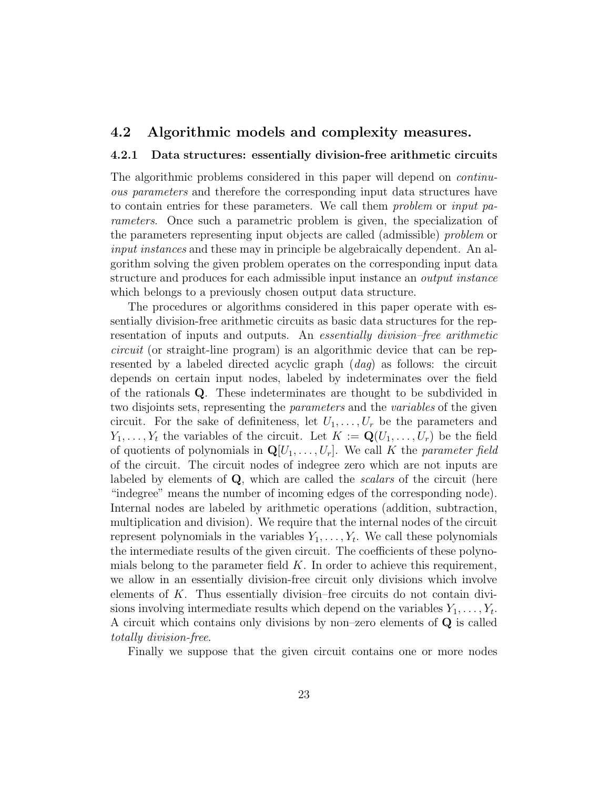### <span id="page-22-0"></span>4.2 Algorithmic models and complexity measures.

#### 4.2.1 Data structures: essentially division-free arithmetic circuits

The algorithmic problems considered in this paper will depend on continuous parameters and therefore the corresponding input data structures have to contain entries for these parameters. We call them problem or input parameters. Once such a parametric problem is given, the specialization of the parameters representing input objects are called (admissible) problem or input instances and these may in principle be algebraically dependent. An algorithm solving the given problem operates on the corresponding input data structure and produces for each admissible input instance an output instance which belongs to a previously chosen output data structure.

The procedures or algorithms considered in this paper operate with essentially division-free arithmetic circuits as basic data structures for the representation of inputs and outputs. An essentially division–free arithmetic circuit (or straight-line program) is an algorithmic device that can be represented by a labeled directed acyclic graph (dag) as follows: the circuit depends on certain input nodes, labeled by indeterminates over the field of the rationals Q. These indeterminates are thought to be subdivided in two disjoints sets, representing the parameters and the variables of the given circuit. For the sake of definiteness, let  $U_1, \ldots, U_r$  be the parameters and  $Y_1, \ldots, Y_t$  the variables of the circuit. Let  $K := \mathbf{Q}(U_1, \ldots, U_r)$  be the field of quotients of polynomials in  $\mathbf{Q}[U_1, \ldots, U_r]$ . We call K the parameter field of the circuit. The circuit nodes of indegree zero which are not inputs are labeled by elements of Q, which are called the *scalars* of the circuit (here "indegree" means the number of incoming edges of the corresponding node). Internal nodes are labeled by arithmetic operations (addition, subtraction, multiplication and division). We require that the internal nodes of the circuit represent polynomials in the variables  $Y_1, \ldots, Y_t$ . We call these polynomials the intermediate results of the given circuit. The coefficients of these polynomials belong to the parameter field  $K$ . In order to achieve this requirement, we allow in an essentially division-free circuit only divisions which involve elements of  $K$ . Thus essentially division–free circuits do not contain divisions involving intermediate results which depend on the variables  $Y_1, \ldots, Y_t$ . A circuit which contains only divisions by non–zero elements of Q is called totally division-free.

Finally we suppose that the given circuit contains one or more nodes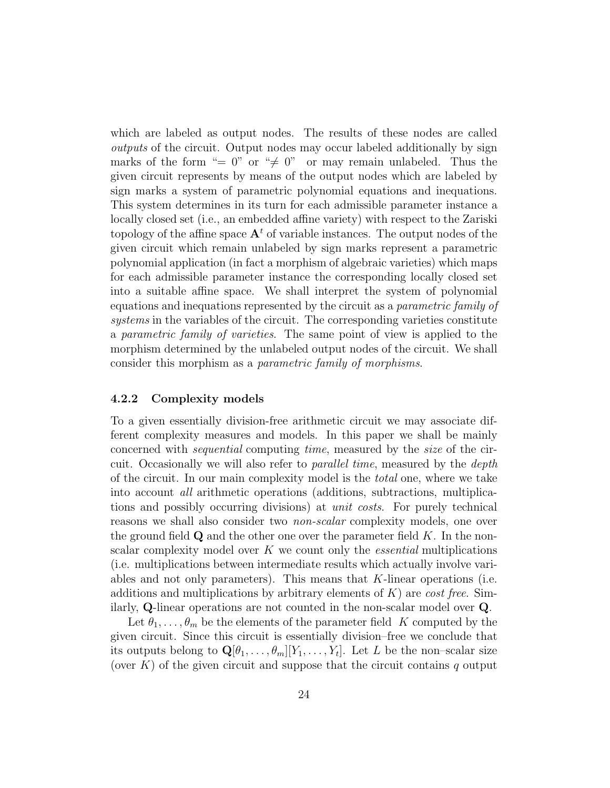which are labeled as output nodes. The results of these nodes are called outputs of the circuit. Output nodes may occur labeled additionally by sign marks of the form "= 0" or " $\neq$  0" or may remain unlabeled. Thus the given circuit represents by means of the output nodes which are labeled by sign marks a system of parametric polynomial equations and inequations. This system determines in its turn for each admissible parameter instance a locally closed set (i.e., an embedded affine variety) with respect to the Zariski topology of the affine space  $A<sup>t</sup>$  of variable instances. The output nodes of the given circuit which remain unlabeled by sign marks represent a parametric polynomial application (in fact a morphism of algebraic varieties) which maps for each admissible parameter instance the corresponding locally closed set into a suitable affine space. We shall interpret the system of polynomial equations and inequations represented by the circuit as a parametric family of systems in the variables of the circuit. The corresponding varieties constitute a parametric family of varieties. The same point of view is applied to the morphism determined by the unlabeled output nodes of the circuit. We shall consider this morphism as a parametric family of morphisms.

#### 4.2.2 Complexity models

To a given essentially division-free arithmetic circuit we may associate different complexity measures and models. In this paper we shall be mainly concerned with sequential computing time, measured by the size of the circuit. Occasionally we will also refer to *parallel time*, measured by the *depth* of the circuit. In our main complexity model is the total one, where we take into account all arithmetic operations (additions, subtractions, multiplications and possibly occurring divisions) at unit costs. For purely technical reasons we shall also consider two non-scalar complexity models, one over the ground field  $\bf{Q}$  and the other one over the parameter field K. In the nonscalar complexity model over  $K$  we count only the *essential* multiplications (i.e. multiplications between intermediate results which actually involve variables and not only parameters). This means that  $K$ -linear operations (i.e. additions and multiplications by arbitrary elements of  $K$ ) are cost free. Similarly, Q-linear operations are not counted in the non-scalar model over Q.

Let  $\theta_1, \ldots, \theta_m$  be the elements of the parameter field K computed by the given circuit. Since this circuit is essentially division–free we conclude that its outputs belong to  $\mathbf{Q}[\theta_1, \ldots, \theta_m][Y_1, \ldots, Y_t]$ . Let L be the non-scalar size (over  $K$ ) of the given circuit and suppose that the circuit contains q output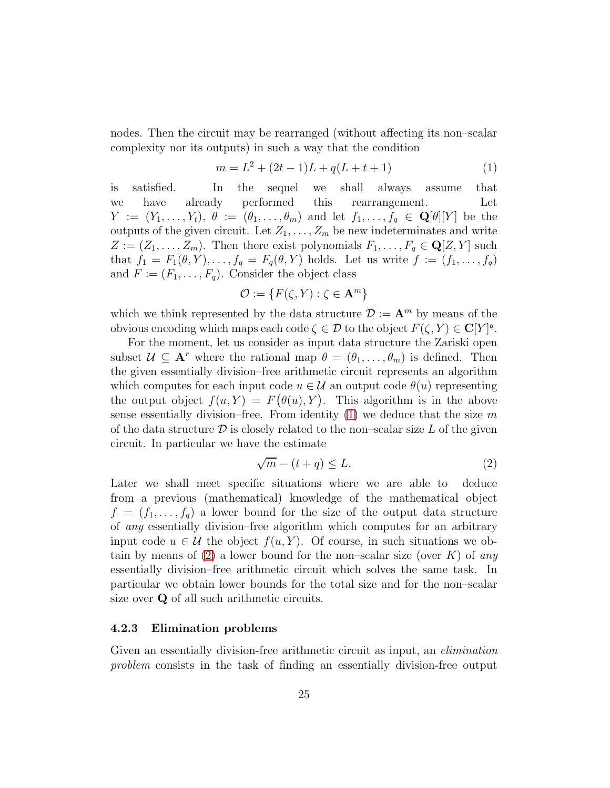nodes. Then the circuit may be rearranged (without affecting its non–scalar complexity nor its outputs) in such a way that the condition

<span id="page-24-0"></span>
$$
m = L2 + (2t - 1)L + q(L + t + 1)
$$
 (1)

is satisfied. In the sequel we shall always assume that we have already performed this rearrangement. Let  $Y := (Y_1, \ldots, Y_t), \ \theta := (\theta_1, \ldots, \theta_m)$  and let  $f_1, \ldots, f_q \in \mathbf{Q}[\theta][Y]$  be the outputs of the given circuit. Let  $Z_1, \ldots, Z_m$  be new indeterminates and write  $Z := (Z_1, \ldots, Z_m)$ . Then there exist polynomials  $F_1, \ldots, F_q \in \mathbb{Q}[Z, Y]$  such that  $f_1 = F_1(\theta, Y), \ldots, f_q = F_q(\theta, Y)$  holds. Let us write  $f := (f_1, \ldots, f_q)$ and  $F := (F_1, \ldots, F_q)$ . Consider the object class

$$
\mathcal{O} := \{ F(\zeta, Y) : \zeta \in \mathbf{A}^m \}
$$

which we think represented by the data structure  $\mathcal{D} := \mathbf{A}^m$  by means of the obvious encoding which maps each code  $\zeta \in \mathcal{D}$  to the object  $F(\zeta, Y) \in \mathbf{C}[Y]^q$ .

For the moment, let us consider as input data structure the Zariski open subset  $\mathcal{U} \subseteq \mathbf{A}^r$  where the rational map  $\theta = (\theta_1, \dots, \theta_m)$  is defined. Then the given essentially division–free arithmetic circuit represents an algorithm which computes for each input code  $u \in \mathcal{U}$  an output code  $\theta(u)$  representing the output object  $f(u, Y) = F(\theta(u), Y)$ . This algorithm is in the above sense essentially division–free. From identity  $(1)$  we deduce that the size m of the data structure  $\mathcal D$  is closely related to the non–scalar size L of the given circuit. In particular we have the estimate

<span id="page-24-1"></span>
$$
\sqrt{m} - (t + q) \le L. \tag{2}
$$

Later we shall meet specific situations where we are able to deduce from a previous (mathematical) knowledge of the mathematical object  $f = (f_1, \ldots, f_q)$  a lower bound for the size of the output data structure of any essentially division–free algorithm which computes for an arbitrary input code  $u \in \mathcal{U}$  the object  $f(u, Y)$ . Of course, in such situations we ob-tain by means of [\(2\)](#page-24-1) a lower bound for the non–scalar size (over  $K$ ) of any essentially division–free arithmetic circuit which solves the same task. In particular we obtain lower bounds for the total size and for the non–scalar size over  $Q$  of all such arithmetic circuits.

#### 4.2.3 Elimination problems

Given an essentially division-free arithmetic circuit as input, an *elimination* problem consists in the task of finding an essentially division-free output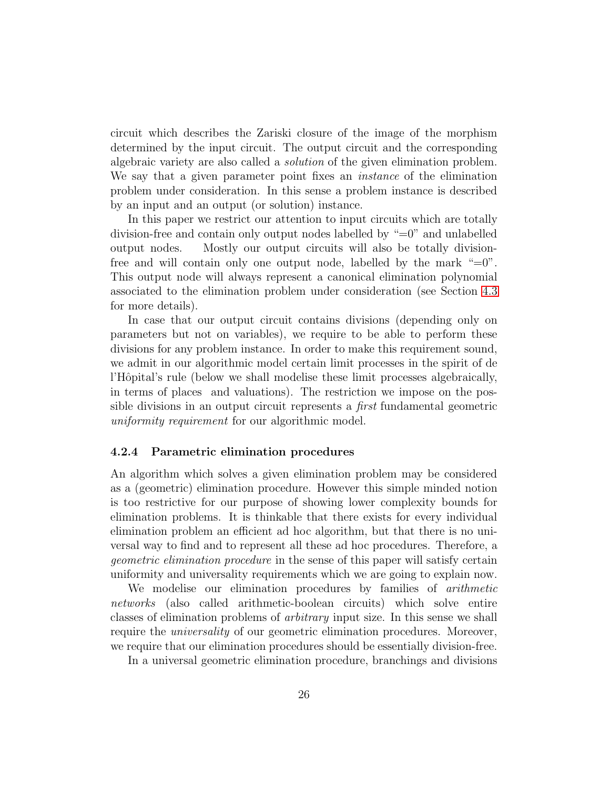circuit which describes the Zariski closure of the image of the morphism determined by the input circuit. The output circuit and the corresponding algebraic variety are also called a solution of the given elimination problem. We say that a given parameter point fixes an *instance* of the elimination problem under consideration. In this sense a problem instance is described by an input and an output (or solution) instance.

In this paper we restrict our attention to input circuits which are totally division-free and contain only output nodes labelled by "=0" and unlabelled output nodes. Mostly our output circuits will also be totally divisionfree and will contain only one output node, labelled by the mark  $\degree=0$ . This output node will always represent a canonical elimination polynomial associated to the elimination problem under consideration (see Section [4.3](#page-27-0) for more details).

In case that our output circuit contains divisions (depending only on parameters but not on variables), we require to be able to perform these divisions for any problem instance. In order to make this requirement sound, we admit in our algorithmic model certain limit processes in the spirit of de l'Hôpital's rule (below we shall modelise these limit processes algebraically, in terms of places and valuations). The restriction we impose on the possible divisions in an output circuit represents a first fundamental geometric uniformity requirement for our algorithmic model.

#### 4.2.4 Parametric elimination procedures

An algorithm which solves a given elimination problem may be considered as a (geometric) elimination procedure. However this simple minded notion is too restrictive for our purpose of showing lower complexity bounds for elimination problems. It is thinkable that there exists for every individual elimination problem an efficient ad hoc algorithm, but that there is no universal way to find and to represent all these ad hoc procedures. Therefore, a geometric elimination procedure in the sense of this paper will satisfy certain uniformity and universality requirements which we are going to explain now.

We modelise our elimination procedures by families of *arithmetic* networks (also called arithmetic-boolean circuits) which solve entire classes of elimination problems of arbitrary input size. In this sense we shall require the universality of our geometric elimination procedures. Moreover, we require that our elimination procedures should be essentially division-free.

In a universal geometric elimination procedure, branchings and divisions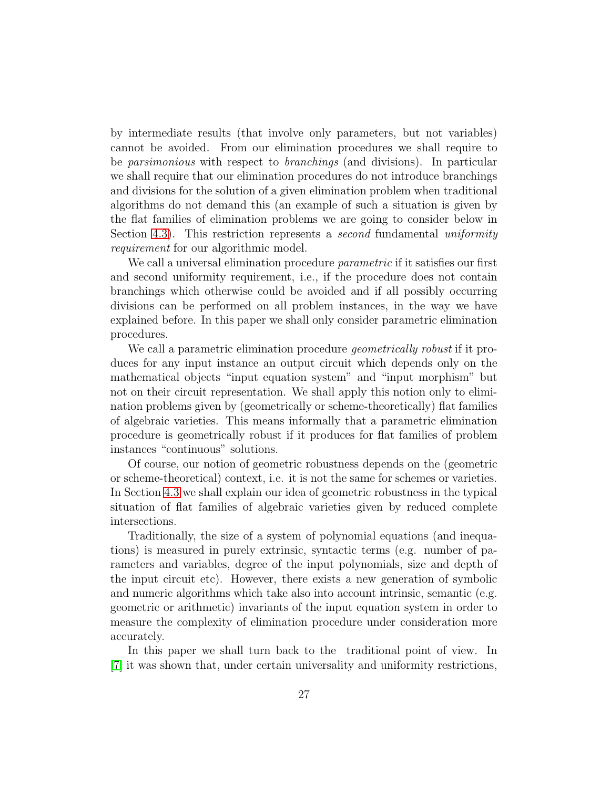by intermediate results (that involve only parameters, but not variables) cannot be avoided. From our elimination procedures we shall require to be parsimonious with respect to branchings (and divisions). In particular we shall require that our elimination procedures do not introduce branchings and divisions for the solution of a given elimination problem when traditional algorithms do not demand this (an example of such a situation is given by the flat families of elimination problems we are going to consider below in Section [4.3\)](#page-27-0). This restriction represents a *second* fundamental uniformity requirement for our algorithmic model.

We call a universal elimination procedure *parametric* if it satisfies our first and second uniformity requirement, i.e., if the procedure does not contain branchings which otherwise could be avoided and if all possibly occurring divisions can be performed on all problem instances, in the way we have explained before. In this paper we shall only consider parametric elimination procedures.

We call a parametric elimination procedure *geometrically robust* if it produces for any input instance an output circuit which depends only on the mathematical objects "input equation system" and "input morphism" but not on their circuit representation. We shall apply this notion only to elimination problems given by (geometrically or scheme-theoretically) flat families of algebraic varieties. This means informally that a parametric elimination procedure is geometrically robust if it produces for flat families of problem instances "continuous" solutions.

Of course, our notion of geometric robustness depends on the (geometric or scheme-theoretical) context, i.e. it is not the same for schemes or varieties. In Section [4.3](#page-27-0) we shall explain our idea of geometric robustness in the typical situation of flat families of algebraic varieties given by reduced complete intersections.

Traditionally, the size of a system of polynomial equations (and inequations) is measured in purely extrinsic, syntactic terms (e.g. number of parameters and variables, degree of the input polynomials, size and depth of the input circuit etc). However, there exists a new generation of symbolic and numeric algorithms which take also into account intrinsic, semantic (e.g. geometric or arithmetic) invariants of the input equation system in order to measure the complexity of elimination procedure under consideration more accurately.

In this paper we shall turn back to the traditional point of view. In [\[7\]](#page-42-6) it was shown that, under certain universality and uniformity restrictions,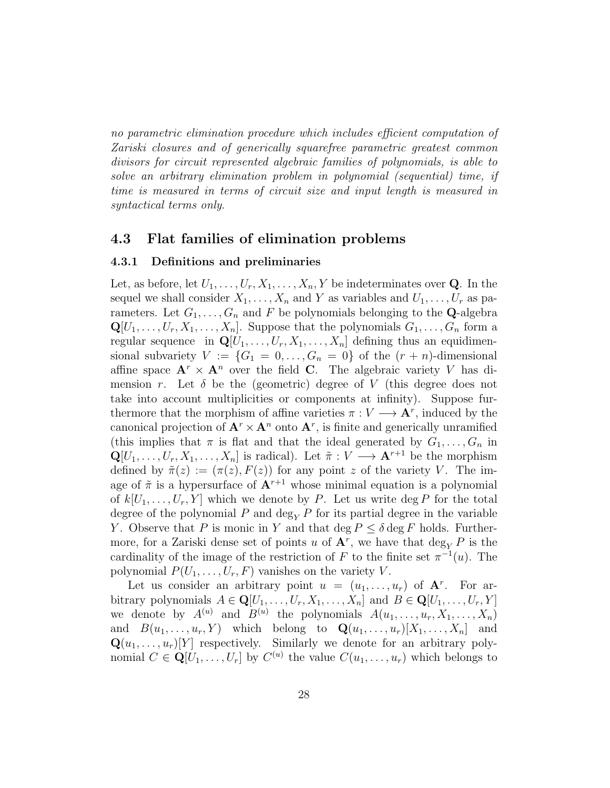no parametric elimination procedure which includes efficient computation of Zariski closures and of generically squarefree parametric greatest common divisors for circuit represented algebraic families of polynomials, is able to solve an arbitrary elimination problem in polynomial (sequential) time, if time is measured in terms of circuit size and input length is measured in syntactical terms only.

### <span id="page-27-0"></span>4.3 Flat families of elimination problems

#### 4.3.1 Definitions and preliminaries

Let, as before, let  $U_1, \ldots, U_r, X_1, \ldots, X_n, Y$  be indeterminates over **Q**. In the sequel we shall consider  $X_1, \ldots, X_n$  and Y as variables and  $U_1, \ldots, U_r$  as parameters. Let  $G_1, \ldots, G_n$  and F be polynomials belonging to the **Q**-algebra  $\mathbf{Q}[U_1,\ldots,U_r,X_1,\ldots,X_n]$ . Suppose that the polynomials  $G_1,\ldots,G_n$  form a regular sequence in  $\mathbf{Q}[U_1,\ldots,U_r,X_1,\ldots,X_n]$  defining thus an equidimensional subvariety  $V := \{G_1 = 0, \ldots, G_n = 0\}$  of the  $(r + n)$ -dimensional affine space  $\mathbf{A}^r \times \mathbf{A}^n$  over the field **C**. The algebraic variety V has dimension r. Let  $\delta$  be the (geometric) degree of V (this degree does not take into account multiplicities or components at infinity). Suppose furthermore that the morphism of affine varieties  $\pi : V \longrightarrow \mathbf{A}^r$ , induced by the canonical projection of  $\mathbf{A}^r \times \mathbf{A}^n$  onto  $\mathbf{A}^r$ , is finite and generically unramified (this implies that  $\pi$  is flat and that the ideal generated by  $G_1, \ldots, G_n$  in  $\mathbf{Q}[U_1,\ldots,U_r,X_1,\ldots,X_n]$  is radical). Let  $\tilde{\pi}:V\longrightarrow \mathbf{A}^{r+1}$  be the morphism defined by  $\tilde{\pi}(z) := (\pi(z), F(z))$  for any point z of the variety V. The image of  $\tilde{\pi}$  is a hypersurface of  $A^{r+1}$  whose minimal equation is a polynomial of  $k[U_1, \ldots, U_r, Y]$  which we denote by P. Let us write deg P for the total degree of the polynomial P and  $\deg_Y P$  for its partial degree in the variable Y. Observe that P is monic in Y and that deg  $P \leq \delta \deg F$  holds. Furthermore, for a Zariski dense set of points u of  $\mathbf{A}^r$ , we have that  $\deg_Y P$  is the cardinality of the image of the restriction of F to the finite set  $\pi^{-1}(u)$ . The polynomial  $P(U_1, \ldots, U_r, F)$  vanishes on the variety V.

Let us consider an arbitrary point  $u = (u_1, \ldots, u_r)$  of  $\mathbf{A}^r$ . For arbitrary polynomials  $A \in \mathbf{Q}[U_1, \ldots, U_r, X_1, \ldots, X_n]$  and  $B \in \mathbf{Q}[U_1, \ldots, U_r, Y]$ we denote by  $A^{(u)}$  and  $B^{(u)}$  the polynomials  $A(u_1, \ldots, u_r, X_1, \ldots, X_n)$ and  $B(u_1, \ldots, u_r, Y)$  which belong to  $\mathbf{Q}(u_1, \ldots, u_r)[X_1, \ldots, X_n]$  and  $\mathbf{Q}(u_1, \ldots, u_r)[Y]$  respectively. Similarly we denote for an arbitrary polynomial  $C \in \mathbf{Q}[U_1, \ldots, U_r]$  by  $C^{(u)}$  the value  $C(u_1, \ldots, u_r)$  which belongs to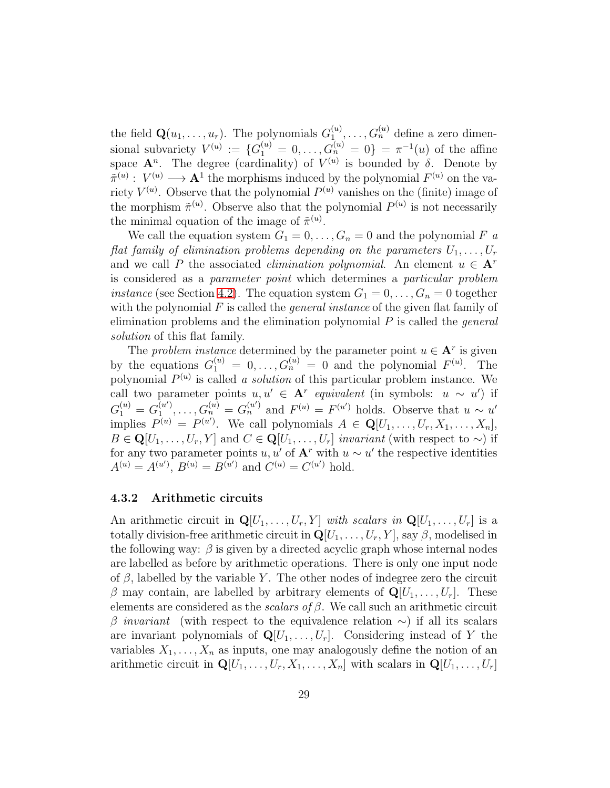the field  $\mathbf{Q}(u_1, \ldots, u_r)$ . The polynomials  $G_1^{(u)}$  $a_1^{(u)}, \ldots, G_n^{(u)}$  define a zero dimensional subvariety  $V^{(u)} := \{G_1^{(u)} = 0, \ldots, G_n^{(u)} = 0\} = \pi^{-1}(u)$  of the affine space  $\mathbf{A}^n$ . The degree (cardinality) of  $V^{(u)}$  is bounded by  $\delta$ . Denote by  $\tilde{\pi}^{(u)}: V^{(u)} \longrightarrow A^1$  the morphisms induced by the polynomial  $F^{(u)}$  on the variety  $V^{(u)}$ . Observe that the polynomial  $P^{(u)}$  vanishes on the (finite) image of the morphism  $\tilde{\pi}^{(u)}$ . Observe also that the polynomial  $P^{(u)}$  is not necessarily the minimal equation of the image of  $\tilde{\pi}^{(u)}$ .

We call the equation system  $G_1 = 0, \ldots, G_n = 0$  and the polynomial F a flat family of elimination problems depending on the parameters  $U_1, \ldots, U_r$ and we call P the associated *elimination polynomial*. An element  $u \in A^r$ is considered as a parameter point which determines a particular problem *instance* (see Section [4.2\)](#page-22-0). The equation system  $G_1 = 0, \ldots, G_n = 0$  together with the polynomial  $F$  is called the *general instance* of the given flat family of elimination problems and the elimination polynomial  $P$  is called the *general* solution of this flat family.

The problem instance determined by the parameter point  $u \in \mathbf{A}^r$  is given by the equations  $G_1^{(u)} = 0, \ldots, G_n^{(u)} = 0$  and the polynomial  $F^{(u)}$ . The polynomial  $P^{(u)}$  is called a solution of this particular problem instance. We call two parameter points  $u, u' \in \mathbf{A}^r$  equivalent (in symbols:  $u \sim u'$ ) if  $G_1^{(u)}=G_1^{(u')}$  $G_n^{(u)},\ldots,G_n^{(u)}=G_n^{(u')}$  and  $F^{(u)}=F^{(u')}$  holds. Observe that  $u \sim u'$ implies  $P^{(u)} = P^{(u')}$ . We call polynomials  $A \in \mathbf{Q}[U_1, \ldots, U_r, X_1, \ldots, X_n]$ ,  $B \in \mathbf{Q}[U_1, \ldots, U_r, Y]$  and  $C \in \mathbf{Q}[U_1, \ldots, U_r]$  invariant (with respect to  $\sim$ ) if for any two parameter points  $u, u'$  of  $\mathbf{A}^r$  with  $u \sim u'$  the respective identities  $A^{(u)} = A^{(u')}$ ,  $B^{(u)} = B^{(u')}$  and  $C^{(u)} = C^{(u')}$  hold.

#### 4.3.2 Arithmetic circuits

An arithmetic circuit in  $\mathbf{Q}[U_1, \ldots, U_r, Y]$  with scalars in  $\mathbf{Q}[U_1, \ldots, U_r]$  is a totally division-free arithmetic circuit in  $\mathbf{Q}[U_1, \ldots, U_r, Y]$ , say  $\beta$ , modelised in the following way:  $\beta$  is given by a directed acyclic graph whose internal nodes are labelled as before by arithmetic operations. There is only one input node of  $\beta$ , labelled by the variable Y. The other nodes of indegree zero the circuit  $\beta$  may contain, are labelled by arbitrary elements of  $\mathbf{Q}[U_1, \ldots, U_r]$ . These elements are considered as the *scalars of*  $\beta$ *.* We call such an arithmetic circuit β invariant (with respect to the equivalence relation  $\sim$ ) if all its scalars are invariant polynomials of  $\mathbf{Q}[U_1, \ldots, U_r]$ . Considering instead of Y the variables  $X_1, \ldots, X_n$  as inputs, one may analogously define the notion of an arithmetic circuit in  $\mathbf{Q}[U_1, \ldots, U_r, X_1, \ldots, X_n]$  with scalars in  $\mathbf{Q}[U_1, \ldots, U_r]$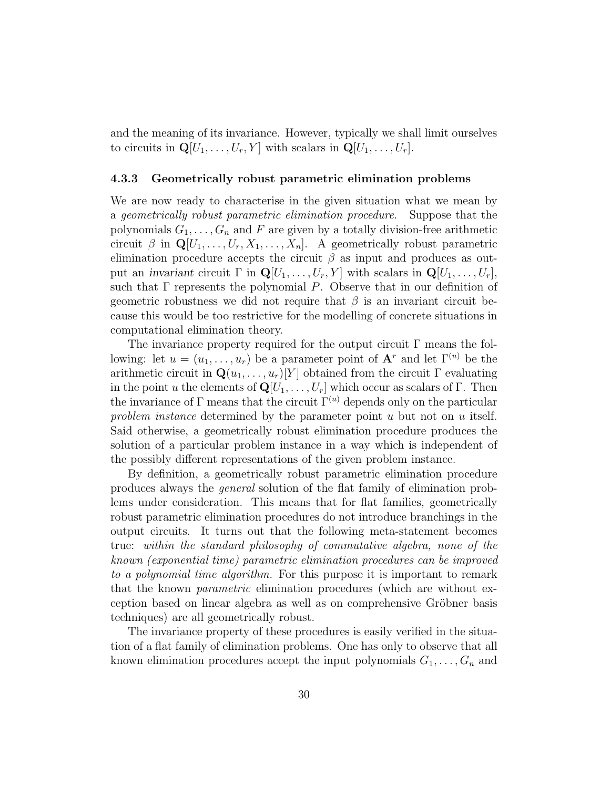and the meaning of its invariance. However, typically we shall limit ourselves to circuits in  $\mathbf{Q}[U_1,\ldots,U_r,Y]$  with scalars in  $\mathbf{Q}[U_1,\ldots,U_r]$ .

#### 4.3.3 Geometrically robust parametric elimination problems

We are now ready to characterise in the given situation what we mean by a geometrically robust parametric elimination procedure. Suppose that the polynomials  $G_1, \ldots, G_n$  and F are given by a totally division-free arithmetic circuit  $\beta$  in  $\mathbf{Q}[U_1, \ldots, U_r, X_1, \ldots, X_n]$ . A geometrically robust parametric elimination procedure accepts the circuit  $\beta$  as input and produces as output an invariant circuit  $\Gamma$  in  $\mathbf{Q}[U_1,\ldots,U_r,Y]$  with scalars in  $\mathbf{Q}[U_1,\ldots,U_r]$ , such that  $\Gamma$  represents the polynomial P. Observe that in our definition of geometric robustness we did not require that  $\beta$  is an invariant circuit because this would be too restrictive for the modelling of concrete situations in computational elimination theory.

The invariance property required for the output circuit  $\Gamma$  means the following: let  $u = (u_1, \ldots, u_r)$  be a parameter point of  $\mathbf{A}^r$  and let  $\Gamma^{(u)}$  be the arithmetic circuit in  $\mathbf{Q}(u_1, \ldots, u_r)[Y]$  obtained from the circuit  $\Gamma$  evaluating in the point u the elements of  $\mathbf{Q}[U_1, \ldots, U_r]$  which occur as scalars of Γ. Then the invariance of Γ means that the circuit  $\Gamma^{(u)}$  depends only on the particular problem instance determined by the parameter point  $u$  but not on  $u$  itself. Said otherwise, a geometrically robust elimination procedure produces the solution of a particular problem instance in a way which is independent of the possibly different representations of the given problem instance.

By definition, a geometrically robust parametric elimination procedure produces always the general solution of the flat family of elimination problems under consideration. This means that for flat families, geometrically robust parametric elimination procedures do not introduce branchings in the output circuits. It turns out that the following meta-statement becomes true: within the standard philosophy of commutative algebra, none of the known (exponential time) parametric elimination procedures can be improved to a polynomial time algorithm. For this purpose it is important to remark that the known parametric elimination procedures (which are without exception based on linear algebra as well as on comprehensive Gröbner basis techniques) are all geometrically robust.

The invariance property of these procedures is easily verified in the situation of a flat family of elimination problems. One has only to observe that all known elimination procedures accept the input polynomials  $G_1, \ldots, G_n$  and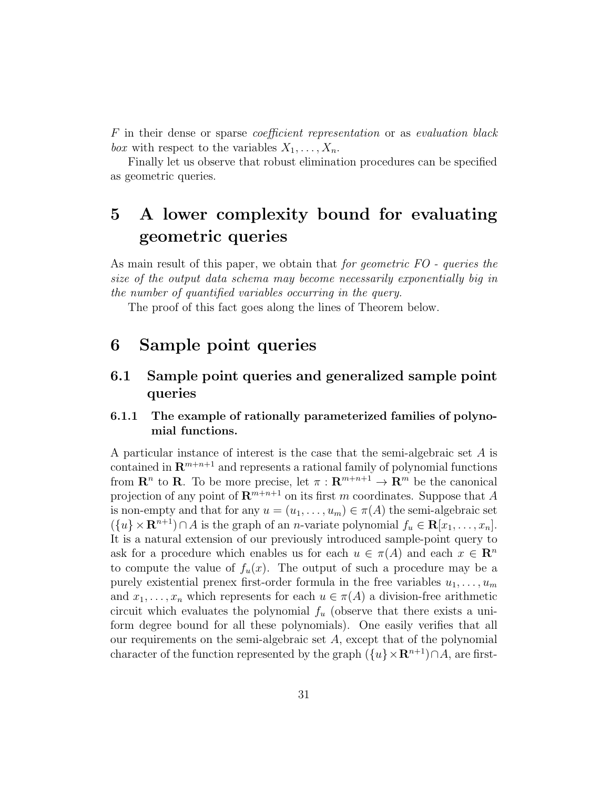F in their dense or sparse coefficient representation or as evaluation black box with respect to the variables  $X_1, \ldots, X_n$ .

Finally let us observe that robust elimination procedures can be specified as geometric queries.

# 5 A lower complexity bound for evaluating geometric queries

As main result of this paper, we obtain that *for geometric FO - queries the* size of the output data schema may become necessarily exponentially big in the number of quantified variables occurring in the query.

The proof of this fact goes along the lines of Theorem below.

## 6 Sample point queries

### 6.1 Sample point queries and generalized sample point queries

### 6.1.1 The example of rationally parameterized families of polynomial functions.

A particular instance of interest is the case that the semi-algebraic set A is contained in  $\mathbb{R}^{m+n+1}$  and represents a rational family of polynomial functions from  $\mathbf{R}^n$  to  $\mathbf{R}$ . To be more precise, let  $\pi: \mathbf{R}^{m+n+1} \to \mathbf{R}^m$  be the canonical projection of any point of  $\mathbb{R}^{m+n+1}$  on its first m coordinates. Suppose that A is non-empty and that for any  $u = (u_1, \ldots, u_m) \in \pi(A)$  the semi-algebraic set  $({u} \times \mathbf{R}^{n+1}) \cap A$  is the graph of an *n*-variate polynomial  $f_u \in \mathbf{R}[x_1, \ldots, x_n]$ . It is a natural extension of our previously introduced sample-point query to ask for a procedure which enables us for each  $u \in \pi(A)$  and each  $x \in \mathbb{R}^n$ to compute the value of  $f_u(x)$ . The output of such a procedure may be a purely existential prenex first-order formula in the free variables  $u_1, \ldots, u_m$ and  $x_1, \ldots, x_n$  which represents for each  $u \in \pi(A)$  a division-free arithmetic circuit which evaluates the polynomial  $f_u$  (observe that there exists a uniform degree bound for all these polynomials). One easily verifies that all our requirements on the semi-algebraic set A, except that of the polynomial character of the function represented by the graph  $({u} \times \mathbb{R}^{n+1}) \cap A$ , are first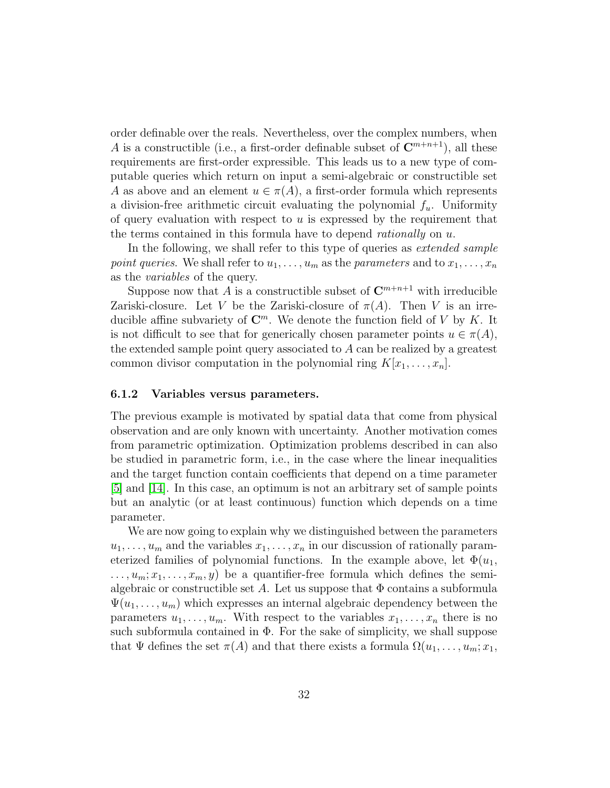order definable over the reals. Nevertheless, over the complex numbers, when A is a constructible (i.e., a first-order definable subset of  $\mathbb{C}^{m+n+1}$ ), all these requirements are first-order expressible. This leads us to a new type of computable queries which return on input a semi-algebraic or constructible set A as above and an element  $u \in \pi(A)$ , a first-order formula which represents a division-free arithmetic circuit evaluating the polynomial  $f_u$ . Uniformity of query evaluation with respect to  $u$  is expressed by the requirement that the terms contained in this formula have to depend *rationally* on  $u$ .

In the following, we shall refer to this type of queries as *extended sample* point queries. We shall refer to  $u_1, \ldots, u_m$  as the parameters and to  $x_1, \ldots, x_n$ as the variables of the query.

Suppose now that A is a constructible subset of  $\mathbb{C}^{m+n+1}$  with irreducible Zariski-closure. Let V be the Zariski-closure of  $\pi(A)$ . Then V is an irreducible affine subvariety of  $\mathbb{C}^m$ . We denote the function field of V by K. It is not difficult to see that for generically chosen parameter points  $u \in \pi(A)$ , the extended sample point query associated to A can be realized by a greatest common divisor computation in the polynomial ring  $K[x_1, \ldots, x_n]$ .

#### 6.1.2 Variables versus parameters.

The previous example is motivated by spatial data that come from physical observation and are only known with uncertainty. Another motivation comes from parametric optimization. Optimization problems described in can also be studied in parametric form, i.e., in the case where the linear inequalities and the target function contain coefficients that depend on a time parameter [\[5\]](#page-42-7) and [\[14\]](#page-43-1). In this case, an optimum is not an arbitrary set of sample points but an analytic (or at least continuous) function which depends on a time parameter.

We are now going to explain why we distinguished between the parameters  $u_1, \ldots, u_m$  and the variables  $x_1, \ldots, x_n$  in our discussion of rationally parameterized families of polynomial functions. In the example above, let  $\Phi(u_1,$  $..., u_m; x_1, ..., x_m, y$  be a quantifier-free formula which defines the semialgebraic or constructible set A. Let us suppose that  $\Phi$  contains a subformula  $\Psi(u_1, \ldots, u_m)$  which expresses an internal algebraic dependency between the parameters  $u_1, \ldots, u_m$ . With respect to the variables  $x_1, \ldots, x_n$  there is no such subformula contained in  $\Phi$ . For the sake of simplicity, we shall suppose that  $\Psi$  defines the set  $\pi(A)$  and that there exists a formula  $\Omega(u_1, \ldots, u_m; x_1, \ldots, x_m; x_m)$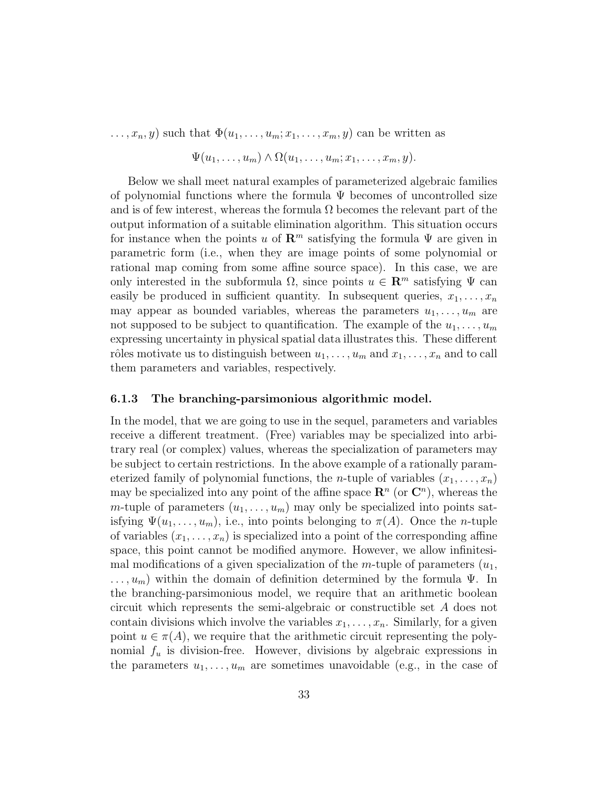$\dots, x_n, y$  such that  $\Phi(u_1, \dots, u_m; x_1, \dots, x_m, y)$  can be written as

$$
\Psi(u_1,\ldots,u_m)\wedge\Omega(u_1,\ldots,u_m;x_1,\ldots,x_m,y).
$$

Below we shall meet natural examples of parameterized algebraic families of polynomial functions where the formula  $\Psi$  becomes of uncontrolled size and is of few interest, whereas the formula  $\Omega$  becomes the relevant part of the output information of a suitable elimination algorithm. This situation occurs for instance when the points u of  $\mathbb{R}^m$  satisfying the formula  $\Psi$  are given in parametric form (i.e., when they are image points of some polynomial or rational map coming from some affine source space). In this case, we are only interested in the subformula  $\Omega$ , since points  $u \in \mathbb{R}^m$  satisfying  $\Psi$  can easily be produced in sufficient quantity. In subsequent queries,  $x_1, \ldots, x_n$ may appear as bounded variables, whereas the parameters  $u_1, \ldots, u_m$  are not supposed to be subject to quantification. The example of the  $u_1, \ldots, u_m$ expressing uncertainty in physical spatial data illustrates this. These different rôles motivate us to distinguish between  $u_1, \ldots, u_m$  and  $x_1, \ldots, x_n$  and to call them parameters and variables, respectively.

#### 6.1.3 The branching-parsimonious algorithmic model.

In the model, that we are going to use in the sequel, parameters and variables receive a different treatment. (Free) variables may be specialized into arbitrary real (or complex) values, whereas the specialization of parameters may be subject to certain restrictions. In the above example of a rationally parameterized family of polynomial functions, the *n*-tuple of variables  $(x_1, \ldots, x_n)$ may be specialized into any point of the affine space  $\mathbb{R}^n$  (or  $\mathbb{C}^n$ ), whereas the m-tuple of parameters  $(u_1, \ldots, u_m)$  may only be specialized into points satisfying  $\Psi(u_1,\ldots,u_m)$ , i.e., into points belonging to  $\pi(A)$ . Once the *n*-tuple of variables  $(x_1, \ldots, x_n)$  is specialized into a point of the corresponding affine space, this point cannot be modified anymore. However, we allow infinitesimal modifications of a given specialization of the m-tuple of parameters  $(u_1,$  $\ldots, u_m$ ) within the domain of definition determined by the formula  $\Psi$ . In the branching-parsimonious model, we require that an arithmetic boolean circuit which represents the semi-algebraic or constructible set A does not contain divisions which involve the variables  $x_1, \ldots, x_n$ . Similarly, for a given point  $u \in \pi(A)$ , we require that the arithmetic circuit representing the polynomial  $f_u$  is division-free. However, divisions by algebraic expressions in the parameters  $u_1, \ldots, u_m$  are sometimes unavoidable (e.g., in the case of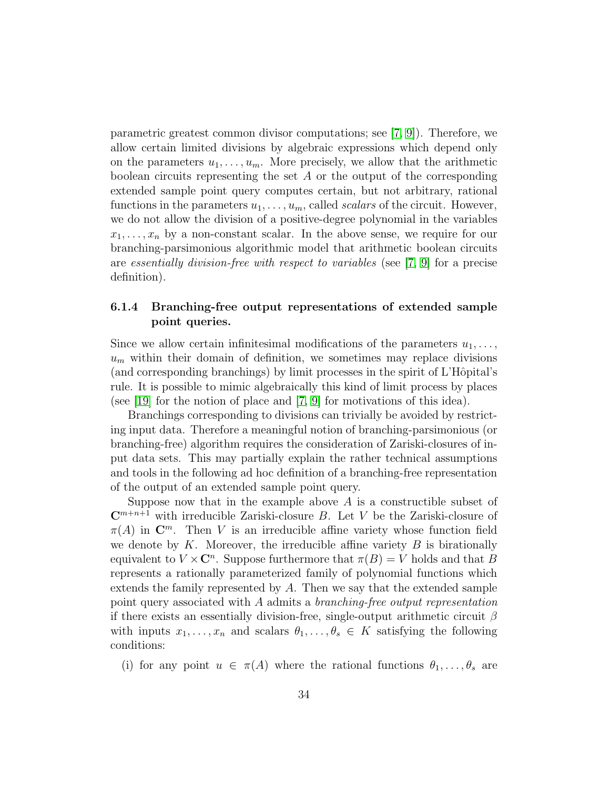parametric greatest common divisor computations; see  $(7, 9)$ ). Therefore, we allow certain limited divisions by algebraic expressions which depend only on the parameters  $u_1, \ldots, u_m$ . More precisely, we allow that the arithmetic boolean circuits representing the set  $A$  or the output of the corresponding extended sample point query computes certain, but not arbitrary, rational functions in the parameters  $u_1, \ldots, u_m$ , called *scalars* of the circuit. However, we do not allow the division of a positive-degree polynomial in the variables  $x_1, \ldots, x_n$  by a non-constant scalar. In the above sense, we require for our branching-parsimonious algorithmic model that arithmetic boolean circuits are essentially division-free with respect to variables (see [\[7,](#page-42-6) [9\]](#page-43-8) for a precise definition).

### 6.1.4 Branching-free output representations of extended sample point queries.

Since we allow certain infinitesimal modifications of the parameters  $u_1, \ldots,$  $u_m$  within their domain of definition, we sometimes may replace divisions (and corresponding branchings) by limit processes in the spirit of L'Hôpital's rule. It is possible to mimic algebraically this kind of limit process by places (see [\[19\]](#page-44-4) for the notion of place and [\[7,](#page-42-6) [9\]](#page-43-8) for motivations of this idea).

Branchings corresponding to divisions can trivially be avoided by restricting input data. Therefore a meaningful notion of branching-parsimonious (or branching-free) algorithm requires the consideration of Zariski-closures of input data sets. This may partially explain the rather technical assumptions and tools in the following ad hoc definition of a branching-free representation of the output of an extended sample point query.

Suppose now that in the example above  $A$  is a constructible subset of  $\mathbb{C}^{m+n+1}$  with irreducible Zariski-closure B. Let V be the Zariski-closure of  $\pi(A)$  in  $\mathbb{C}^m$ . Then V is an irreducible affine variety whose function field we denote by  $K$ . Moreover, the irreducible affine variety  $B$  is birationally equivalent to  $V \times \mathbb{C}^n$ . Suppose furthermore that  $\pi(B) = V$  holds and that B represents a rationally parameterized family of polynomial functions which extends the family represented by A. Then we say that the extended sample point query associated with A admits a branching-free output representation if there exists an essentially division-free, single-output arithmetic circuit  $\beta$ with inputs  $x_1, \ldots, x_n$  and scalars  $\theta_1, \ldots, \theta_s \in K$  satisfying the following conditions:

(i) for any point  $u \in \pi(A)$  where the rational functions  $\theta_1, \ldots, \theta_s$  are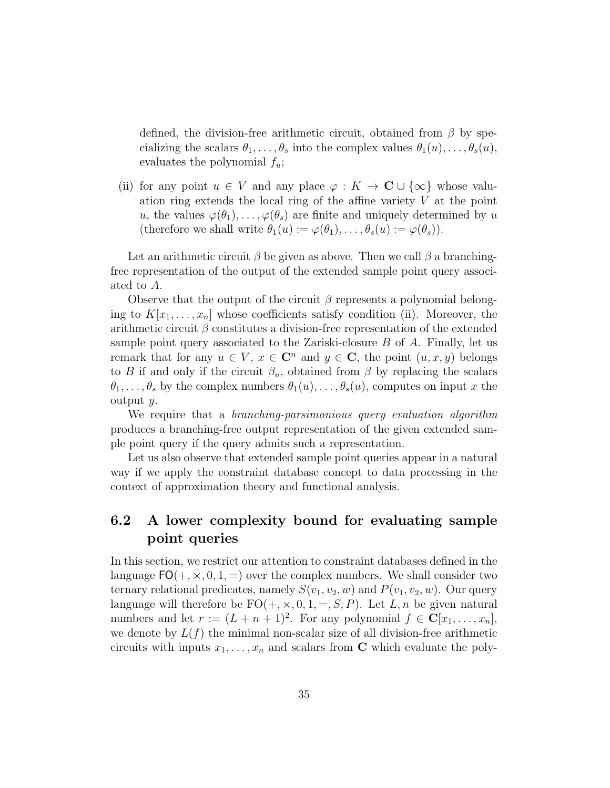defined, the division-free arithmetic circuit, obtained from  $\beta$  by specializing the scalars  $\theta_1, \ldots, \theta_s$  into the complex values  $\theta_1(u), \ldots, \theta_s(u),$ evaluates the polynomial  $f_u$ ;

(ii) for any point  $u \in V$  and any place  $\varphi : K \to \mathbb{C} \cup \{\infty\}$  whose valuation ring extends the local ring of the affine variety  $V$  at the point u, the values  $\varphi(\theta_1), \ldots, \varphi(\theta_s)$  are finite and uniquely determined by u (therefore we shall write  $\theta_1(u) := \varphi(\theta_1), \ldots, \theta_s(u) := \varphi(\theta_s)$ ).

Let an arithmetic circuit  $\beta$  be given as above. Then we call  $\beta$  a branchingfree representation of the output of the extended sample point query associated to A.

Observe that the output of the circuit  $\beta$  represents a polynomial belonging to  $K[x_1, \ldots, x_n]$  whose coefficients satisfy condition (ii). Moreover, the arithmetic circuit  $\beta$  constitutes a division-free representation of the extended sample point query associated to the Zariski-closure  $B$  of  $A$ . Finally, let us remark that for any  $u \in V$ ,  $x \in \mathbb{C}^n$  and  $y \in \mathbb{C}$ , the point  $(u, x, y)$  belongs to B if and only if the circuit  $\beta_u$ , obtained from  $\beta$  by replacing the scalars  $\theta_1, \ldots, \theta_s$  by the complex numbers  $\theta_1(u), \ldots, \theta_s(u)$ , computes on input x the output y.

We require that a *branching-parsimonious* query evaluation algorithm produces a branching-free output representation of the given extended sample point query if the query admits such a representation.

Let us also observe that extended sample point queries appear in a natural way if we apply the constraint database concept to data processing in the context of approximation theory and functional analysis.

## 6.2 A lower complexity bound for evaluating sample point queries

In this section, we restrict our attention to constraint databases defined in the language  $FO(+, \times, 0, 1, =)$  over the complex numbers. We shall consider two ternary relational predicates, namely  $S(v_1, v_2, w)$  and  $P(v_1, v_2, w)$ . Our query language will therefore be  $FO(+, \times, 0, 1, =, S, P)$ . Let L, n be given natural numbers and let  $r := (L + n + 1)^2$ . For any polynomial  $f \in \mathbb{C}[x_1, \ldots, x_n]$ , we denote by  $L(f)$  the minimal non-scalar size of all division-free arithmetic circuits with inputs  $x_1, \ldots, x_n$  and scalars from **C** which evaluate the poly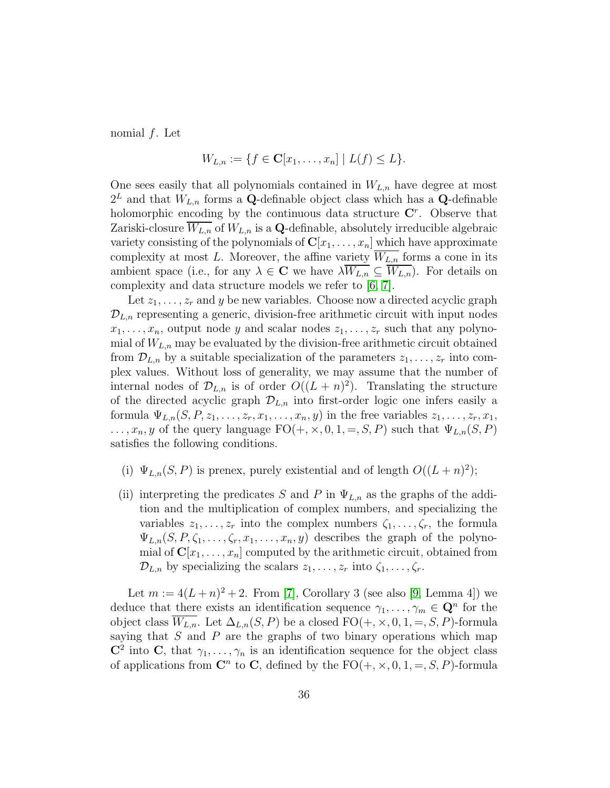nomial f. Let

$$
W_{L,n} := \{ f \in \mathbf{C}[x_1,\ldots,x_n] \mid L(f) \le L \}.
$$

One sees easily that all polynomials contained in  $W_{L,n}$  have degree at most  $2^L$  and that  $W_{L,n}$  forms a Q-definable object class which has a Q-definable holomorphic encoding by the continuous data structure  $\mathbf{C}^r$ . Observe that Zariski-closure  $W_{L,n}$  of  $W_{L,n}$  is a Q-definable, absolutely irreducible algebraic variety consisting of the polynomials of  $\mathbf{C}[x_1, \ldots, x_n]$  which have approximate complexity at most L. Moreover, the affine variety  $\overline{W_{L,n}}$  forms a cone in its ambient space (i.e., for any  $\lambda \in \mathbb{C}$  we have  $\lambda W_{L,n} \subseteq W_{L,n}$ ). For details on complexity and data structure models we refer to [\[6,](#page-42-4) [7\]](#page-42-6).

Let  $z_1, \ldots, z_r$  and y be new variables. Choose now a directed acyclic graph  $\mathcal{D}_{L,n}$  representing a generic, division-free arithmetic circuit with input nodes  $x_1, \ldots, x_n$ , output node y and scalar nodes  $z_1, \ldots, z_r$  such that any polynomial of  $W_{L,n}$  may be evaluated by the division-free arithmetic circuit obtained from  $\mathcal{D}_{L,n}$  by a suitable specialization of the parameters  $z_1, \ldots, z_r$  into complex values. Without loss of generality, we may assume that the number of internal nodes of  $\mathcal{D}_{L,n}$  is of order  $O((L+n)^2)$ . Translating the structure of the directed acyclic graph  $\mathcal{D}_{L,n}$  into first-order logic one infers easily a formula  $\Psi_{L,n}(S, P, z_1, \ldots, z_r, x_1, \ldots, x_n, y)$  in the free variables  $z_1, \ldots, z_r, x_1$ ,  $\ldots, x_n, y$  of the query language  $FO(+, \times, 0, 1, =, S, P)$  such that  $\Psi_{L,n}(S, P)$ satisfies the following conditions.

- (i)  $\Psi_{L,n}(S, P)$  is prenex, purely existential and of length  $O((L+n)^2)$ ;
- (ii) interpreting the predicates S and P in  $\Psi_{L,n}$  as the graphs of the addition and the multiplication of complex numbers, and specializing the variables  $z_1, \ldots, z_r$  into the complex numbers  $\zeta_1, \ldots, \zeta_r$ , the formula  $\Psi_{L,n}(S, P, \zeta_1, \ldots, \zeta_r, x_1, \ldots, x_n, y)$  describes the graph of the polynomial of  $\mathbf{C}[x_1,\ldots,x_n]$  computed by the arithmetic circuit, obtained from  $\mathcal{D}_{L,n}$  by specializing the scalars  $z_1, \ldots, z_r$  into  $\zeta_1, \ldots, \zeta_r$ .

Let  $m := 4(L+n)^2 + 2$ . From [\[7\]](#page-42-6), Corollary 3 (see also [\[9,](#page-43-8) Lemma 4]) we deduce that there exists an identification sequence  $\gamma_1, \ldots, \gamma_m \in \mathbb{Q}^n$  for the object class  $W_{L,n}$ . Let  $\Delta_{L,n}(S, P)$  be a closed  $FO(+, \times, 0, 1, =, S, P)$ -formula saying that  $S$  and  $P$  are the graphs of two binary operations which map  $\mathbb{C}^2$  into C, that  $\gamma_1, \ldots, \gamma_n$  is an identification sequence for the object class of applications from  $\mathbb{C}^n$  to  $\mathbb{C}$ , defined by the  $\mathrm{FO}(+,\times,0,1,=,S,P)$ -formula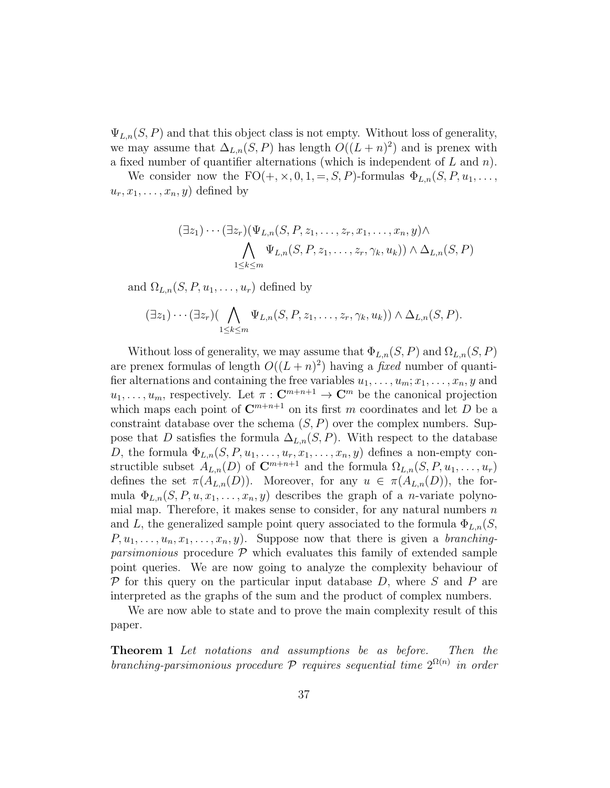$\Psi_{L,n}(S, P)$  and that this object class is not empty. Without loss of generality, we may assume that  $\Delta_{L,n}(S, P)$  has length  $O((L+n)^2)$  and is prenex with a fixed number of quantifier alternations (which is independent of L and n).

We consider now the  $FO(+, \times, 0, 1, =, S, P)$ -formulas  $\Phi_{L,n}(S, P, u_1, \ldots,$  $u_r, x_1, \ldots, x_n, y$  defined by

$$
(\exists z_1)\cdots(\exists z_r)(\Psi_{L,n}(S, P, z_1, \ldots, z_r, x_1, \ldots, x_n, y) \wedge \bigwedge_{1 \leq k \leq m} \Psi_{L,n}(S, P, z_1, \ldots, z_r, \gamma_k, u_k)) \wedge \Delta_{L,n}(S, P)
$$

and  $\Omega_{L,n}(S, P, u_1, \ldots, u_r)$  defined by

$$
(\exists z_1)\cdots(\exists z_r)\big(\bigwedge_{1\leq k\leq m}\Psi_{L,n}(S,P,z_1,\ldots,z_r,\gamma_k,u_k)\big)\wedge\Delta_{L,n}(S,P).
$$

Without loss of generality, we may assume that  $\Phi_{L,n}(S, P)$  and  $\Omega_{L,n}(S, P)$ are prenex formulas of length  $O((L+n)^2)$  having a *fixed* number of quantifier alternations and containing the free variables  $u_1, \ldots, u_m; x_1, \ldots, x_n, y$  and  $u_1, \ldots, u_m$ , respectively. Let  $\pi : \mathbb{C}^{m+n+1} \to \mathbb{C}^m$  be the canonical projection which maps each point of  $\mathbb{C}^{m+n+1}$  on its first m coordinates and let D be a constraint database over the schema  $(S, P)$  over the complex numbers. Suppose that D satisfies the formula  $\Delta_{L,n}(S, P)$ . With respect to the database D, the formula  $\Phi_{L,n}(S, P, u_1, \ldots, u_r, x_1, \ldots, x_n, y)$  defines a non-empty constructible subset  $A_{L,n}(D)$  of  $\mathbb{C}^{m+n+1}$  and the formula  $\Omega_{L,n}(S, P, u_1, \ldots, u_r)$ defines the set  $\pi(A_{L,n}(D))$ . Moreover, for any  $u \in \pi(A_{L,n}(D))$ , the formula  $\Phi_{L,n}(S, P, u, x_1, \ldots, x_n, y)$  describes the graph of a *n*-variate polynomial map. Therefore, it makes sense to consider, for any natural numbers  $n$ and L, the generalized sample point query associated to the formula  $\Phi_{L,n}(S)$ ,  $P, u_1, \ldots, u_n, x_1, \ldots, x_n, y$ . Suppose now that there is given a branching*parsimonious* procedure  $\mathcal P$  which evaluates this family of extended sample point queries. We are now going to analyze the complexity behaviour of  $P$  for this query on the particular input database D, where S and P are interpreted as the graphs of the sum and the product of complex numbers.

<span id="page-36-0"></span>We are now able to state and to prove the main complexity result of this paper.

Theorem 1 Let notations and assumptions be as before. Then the branching-parsimonious procedure  $P$  requires sequential time  $2^{\Omega(n)}$  in order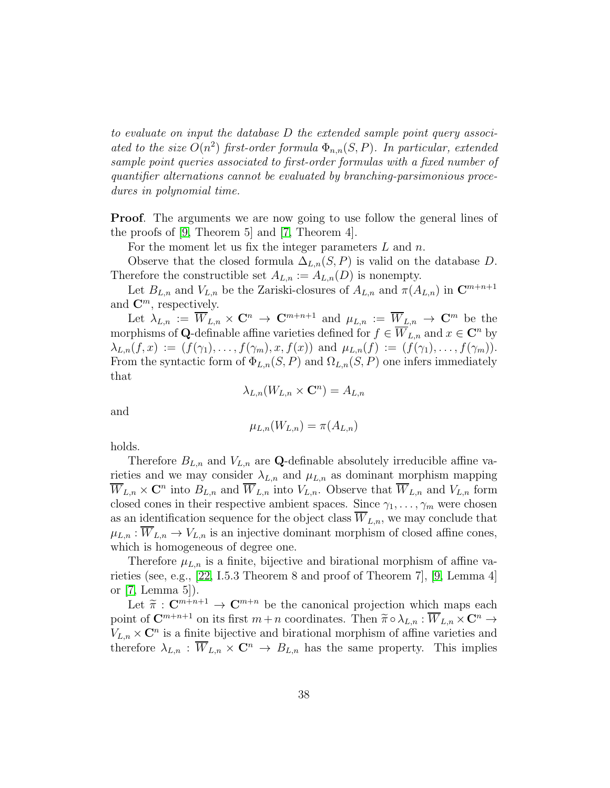to evaluate on input the database D the extended sample point query associated to the size  $O(n^2)$  first-order formula  $\Phi_{n,n}(S, P)$ . In particular, extended sample point queries associated to first-order formulas with a fixed number of quantifier alternations cannot be evaluated by branching-parsimonious procedures in polynomial time.

Proof. The arguments we are now going to use follow the general lines of the proofs of [\[9,](#page-43-8) Theorem 5] and [\[7,](#page-42-6) Theorem 4].

For the moment let us fix the integer parameters  $L$  and  $n$ .

Observe that the closed formula  $\Delta_{L,n}(S, P)$  is valid on the database D. Therefore the constructible set  $A_{L,n} := A_{L,n}(D)$  is nonempty.

Let  $B_{L,n}$  and  $V_{L,n}$  be the Zariski-closures of  $A_{L,n}$  and  $\pi(A_{L,n})$  in  $\mathbb{C}^{m+n+1}$ and  $\mathbf{C}^m$ , respectively.

Let  $\lambda_{L,n} := \overline{W}_{L,n} \times \mathbb{C}^n \to \mathbb{C}^{m+n+1}$  and  $\mu_{L,n} := \overline{W}_{L,n} \to \mathbb{C}^m$  be the morphisms of Q-definable affine varieties defined for  $f \in \overline{W}_{L,n}$  and  $x \in \mathbb{C}^n$  by  $\lambda_{L,n}(f,x) := (f(\gamma_1), \ldots, f(\gamma_m), x, f(x))$  and  $\mu_{L,n}(f) := (f(\gamma_1), \ldots, f(\gamma_m)).$ From the syntactic form of  $\Phi_{L,n}(S, P)$  and  $\Omega_{L,n}(S, P)$  one infers immediately that

$$
\lambda_{L,n}(W_{L,n} \times \mathbf{C}^n) = A_{L,n}
$$

and

$$
\mu_{L,n}(W_{L,n}) = \pi(A_{L,n})
$$

holds.

Therefore  $B_{L,n}$  and  $V_{L,n}$  are Q-definable absolutely irreducible affine varieties and we may consider  $\lambda_{L,n}$  and  $\mu_{L,n}$  as dominant morphism mapping  $\overline{W}_{L,n} \times \mathbf{C}^n$  into  $B_{L,n}$  and  $\overline{W}_{L,n}$  into  $V_{L,n}$ . Observe that  $\overline{W}_{L,n}$  and  $V_{L,n}$  form closed cones in their respective ambient spaces. Since  $\gamma_1, \ldots, \gamma_m$  were chosen as an identification sequence for the object class  $W_{L,n}$ , we may conclude that  $\mu_{L,n} : \overline{W}_{L,n} \to V_{L,n}$  is an injective dominant morphism of closed affine cones, which is homogeneous of degree one.

Therefore  $\mu_{L,n}$  is a finite, bijective and birational morphism of affine varieties (see, e.g., [\[22,](#page-44-3) I.5.3 Theorem 8 and proof of Theorem 7], [\[9,](#page-43-8) Lemma 4] or [\[7,](#page-42-6) Lemma 5]).

Let  $\widetilde{\pi}: \mathbb{C}^{m+n+1} \to \mathbb{C}^{m+n}$  be the canonical projection which maps each point of  $\mathbb{C}^{m+n+1}$  on its first  $m+n$  coordinates. Then  $\widetilde{\pi} \circ \lambda_{L,n} : \overline{W}_{L,n} \times \mathbb{C}^n \to$  $V_{L,n} \times \mathbb{C}^n$  is a finite bijective and birational morphism of affine varieties and therefore  $\lambda_{L,n} : \overline{W}_{L,n} \times \mathbb{C}^n \to B_{L,n}$  has the same property. This implies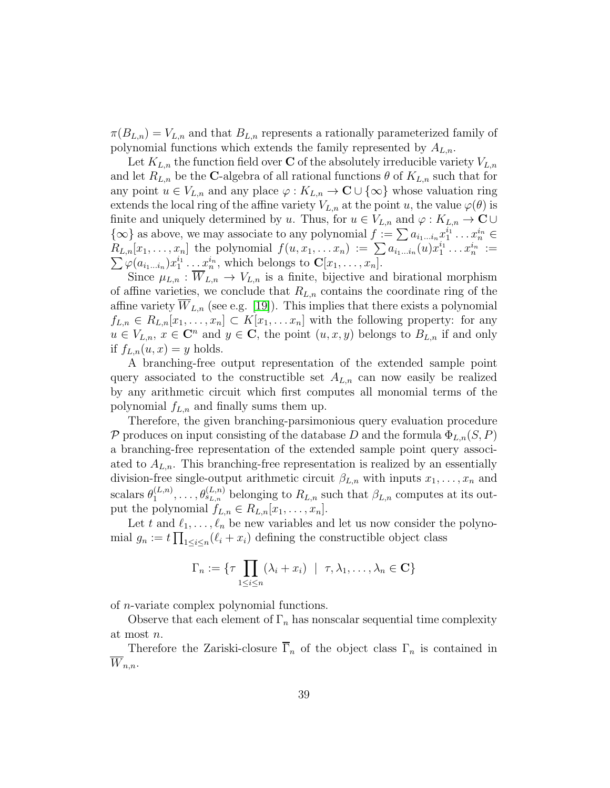$\pi(B_{L,n})=V_{L,n}$  and that  $B_{L,n}$  represents a rationally parameterized family of polynomial functions which extends the family represented by  $A_{L,n}$ .

Let  $K_{L,n}$  the function field over **C** of the absolutely irreducible variety  $V_{L,n}$ and let  $R_{L,n}$  be the C-algebra of all rational functions  $\theta$  of  $K_{L,n}$  such that for any point  $u \in V_{L,n}$  and any place  $\varphi : K_{L,n} \to \mathbb{C} \cup \{ \infty \}$  whose valuation ring extends the local ring of the affine variety  $V_{L,n}$  at the point u, the value  $\varphi(\theta)$  is finite and uniquely determined by u. Thus, for  $u \in V_{L,n}$  and  $\varphi: K_{L,n} \to \mathbb{C} \cup$  $\{\infty\}$  as above, we may associate to any polynomial  $f := \sum a_{i_1...i_n} x_1^{i_1} \dots x_n^{i_n} \in$  $R_{L,n}[x_1,\ldots,x_n]$  the polynomial  $f(u,x_1,\ldots,x_n) := \sum a_{i_1...i_n}(u)x_1^{i_1} \ldots x_n^{i_n} :=$  $\sum_{i} \varphi(a_{i_1\ldots i_n}) x_1^{i_1} \ldots x_n^{i_n}$ , which belongs to  $\mathbf{C}[x_1,\ldots,x_n]$ .

Since  $\mu_{L,n}$ :  $\overline{W}_{L,n} \to V_{L,n}$  is a finite, bijective and birational morphism of affine varieties, we conclude that  $R_{L,n}$  contains the coordinate ring of the affine variety  $W_{L,n}$  (see e.g. [\[19\]](#page-44-4)). This implies that there exists a polynomial  $f_{L,n} \in R_{L,n}[x_1,\ldots,x_n] \subset K[x_1,\ldots,x_n]$  with the following property: for any  $u \in V_{L,n}$ ,  $x \in \mathbb{C}^n$  and  $y \in \mathbb{C}$ , the point  $(u, x, y)$  belongs to  $B_{L,n}$  if and only if  $f_{L,n}(u, x) = y$  holds.

A branching-free output representation of the extended sample point query associated to the constructible set  $A_{L,n}$  can now easily be realized by any arithmetic circuit which first computes all monomial terms of the polynomial  $f_{L,n}$  and finally sums them up.

Therefore, the given branching-parsimonious query evaluation procedure P produces on input consisting of the database D and the formula  $\Phi_{L,n}(S, P)$ a branching-free representation of the extended sample point query associated to  $A_{L,n}$ . This branching-free representation is realized by an essentially division-free single-output arithmetic circuit  $\beta_{L,n}$  with inputs  $x_1, \ldots, x_n$  and scalars  $\theta_1^{(L,n)}$  $\theta_1^{(L,n)}, \ldots, \theta_{s_{L,n}}^{(L,n)}$  belonging to  $R_{L,n}$  such that  $\beta_{L,n}$  computes at its output the polynomial  $f_{L,n} \in R_{L,n}[x_1,\ldots,x_n].$ 

Let t and  $\ell_1, \ldots, \ell_n$  be new variables and let us now consider the polynomial  $g_n := t \prod_{1 \leq i \leq n} (\ell_i + x_i)$  defining the constructible object class

$$
\Gamma_n := \{ \tau \prod_{1 \le i \le n} (\lambda_i + x_i) \mid \tau, \lambda_1, \dots, \lambda_n \in \mathbf{C} \}
$$

of n-variate complex polynomial functions.

Observe that each element of  $\Gamma_n$  has nonscalar sequential time complexity at most n.

Therefore the Zariski-closure  $\overline{\Gamma}_n$  of the object class  $\Gamma_n$  is contained in  $W_{n,n}$ .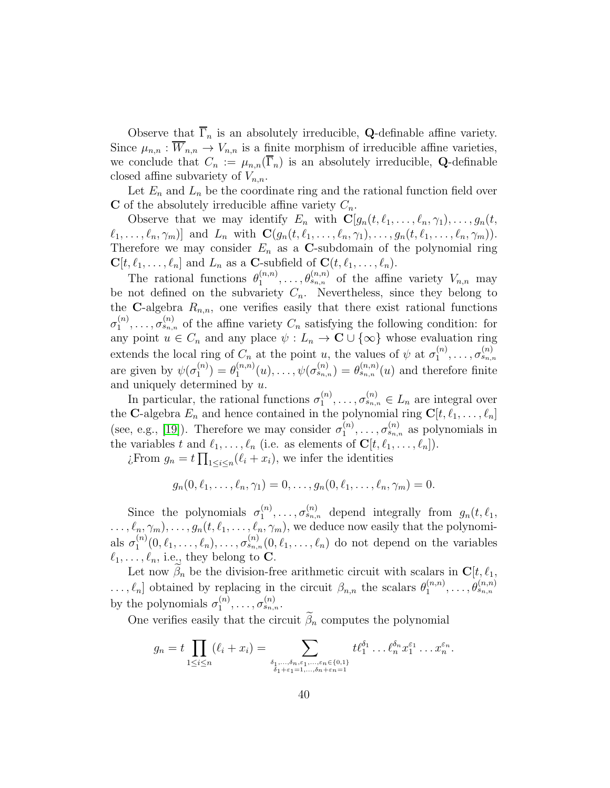Observe that  $\overline{\Gamma}_n$  is an absolutely irreducible, **Q**-definable affine variety. Since  $\mu_{n,n} : \overline{W}_{n,n} \to V_{n,n}$  is a finite morphism of irreducible affine varieties, we conclude that  $C_n := \mu_{n,n}(\overline{\Gamma}_n)$  is an absolutely irreducible, **Q**-definable closed affine subvariety of  $V_{n,n}$ .

Let  $E_n$  and  $L_n$  be the coordinate ring and the rational function field over C of the absolutely irreducible affine variety  $C_n$ .

Observe that we may identify  $E_n$  with  $\mathbf{C}[g_n(t, \ell_1, \ldots, \ell_n, \gamma_1), \ldots, g_n(t, \eta_n)]$  $\ell_1, \ldots, \ell_n, \gamma_m$ ] and  $L_n$  with  $\mathbf{C}(g_n(t, \ell_1, \ldots, \ell_n, \gamma_1), \ldots, g_n(t, \ell_1, \ldots, \ell_n, \gamma_m)).$ Therefore we may consider  $E_n$  as a C-subdomain of the polynomial ring  $\mathbf{C}[t,\ell_1,\ldots,\ell_n]$  and  $L_n$  as a C-subfield of  $\mathbf{C}(t,\ell_1,\ldots,\ell_n)$ .

The rational functions  $\theta_1^{(n,n)}$  $\theta_1^{(n,n)}, \ldots, \theta_{s_{n,n}}^{(n,n)}$  of the affine variety  $V_{n,n}$  may be not defined on the subvariety  $C_n$ . Nevertheless, since they belong to the C-algebra  $R_{n,n}$ , one verifies easily that there exist rational functions  $\sigma_1^{(n)}$  $\mathcal{L}_1^{(n)}, \ldots, \sigma_{s_{n,n}}^{(n)}$  of the affine variety  $C_n$  satisfying the following condition: for any point  $u \in C_n$  and any place  $\psi : L_n \to \mathbb{C} \cup \{ \infty \}$  whose evaluation ring extends the local ring of  $C_n$  at the point u, the values of  $\psi$  at  $\sigma_1^{(n)}$  $\sigma^{(n)}_{1},\ldots,\sigma^{(n)}_{s_{n,n}}$ are given by  $\psi(\sigma_1^{(n)})$  $\binom{n}{1} = \theta_1^{(n,n)}$  $\mathcal{L}_{1}^{(n,n)}(u),\ldots,\psi(\sigma_{s_{n,n}}^{(n)})=\theta_{s_{n,n}}^{(n,n)}(u)$  and therefore finite and uniquely determined by u.

In particular, the rational functions  $\sigma_1^{(n)}$  $\sigma_1^{(n)}, \ldots, \sigma_{s_{n,n}}^{(n)} \in L_n$  are integral over the C-algebra  $E_n$  and hence contained in the polynomial ring  $C[t, \ell_1, \ldots, \ell_n]$ (see, e.g., [\[19\]](#page-44-4)). Therefore we may consider  $\sigma_1^{(n)}$  $\mathcal{L}_1^{(n)}, \ldots, \sigma_{s_{n,n}}^{(n)}$  as polynomials in the variables t and  $\ell_1, \ldots, \ell_n$  (i.e. as elements of  $\mathbf{C}[t, \ell_1, \ldots, \ell_n]$ ).

¿From  $g_n = t \prod_{1 \leq i \leq n} (\ell_i + x_i)$ , we infer the identities

$$
g_n(0, \ell_1, \ldots, \ell_n, \gamma_1) = 0, \ldots, g_n(0, \ell_1, \ldots, \ell_n, \gamma_m) = 0.
$$

Since the polynomials  $\sigma_1^{(n)}$  $\mathcal{L}_1^{(n)}, \ldots, \sigma_{s_{n,n}}^{(n)}$  depend integrally from  $g_n(t, \ell_1,$  $\ldots, \ell_n, \gamma_m), \ldots, g_n(t, \ell_1, \ldots, \ell_n, \gamma_m)$ , we deduce now easily that the polynomials  $\sigma_1^{(n)}$  $\sigma_1^{(n)}(0,\ell_1,\ldots,\ell_n),\ldots,\sigma_{s_{n,n}}^{(n)}(0,\ell_1,\ldots,\ell_n)$  do not depend on the variables  $\ell_1, \ldots, \ell_n$ , i.e., they belong to **C**.

Let now  $\beta_n$  be the division-free arithmetic circuit with scalars in  $\mathbf{C}[t,\ell_1]$ ,  $\ldots, \ell_n$  obtained by replacing in the circuit  $\beta_{n,n}$  the scalars  $\theta_1^{(n,n)}$  $\theta_{1}^{(n,n)},\ldots,\theta_{s_{n,n}}^{(n,n)}$ by the polynomials  $\sigma_1^{(n)}$  $\overline{\mathcal{O}}^{(n)}_{1},\ldots,\overline{\mathcal{O}}^{(n)}_{s_{n,n}}.$ 

One verifies easily that the circuit  $\tilde{\beta}_n$  computes the polynomial

$$
g_n = t \prod_{1 \leq i \leq n} (\ell_i + x_i) = \sum_{\substack{\delta_1, \dots, \delta_n, \varepsilon_1, \dots, \varepsilon_n \in \{0, 1\} \\ \delta_1 + \varepsilon_1 = 1, \dots, \delta_n + \varepsilon_n = 1}} t \ell_1^{\delta_1} \dots \ell_n^{\delta_n} x_1^{\varepsilon_1} \dots x_n^{\varepsilon_n}.
$$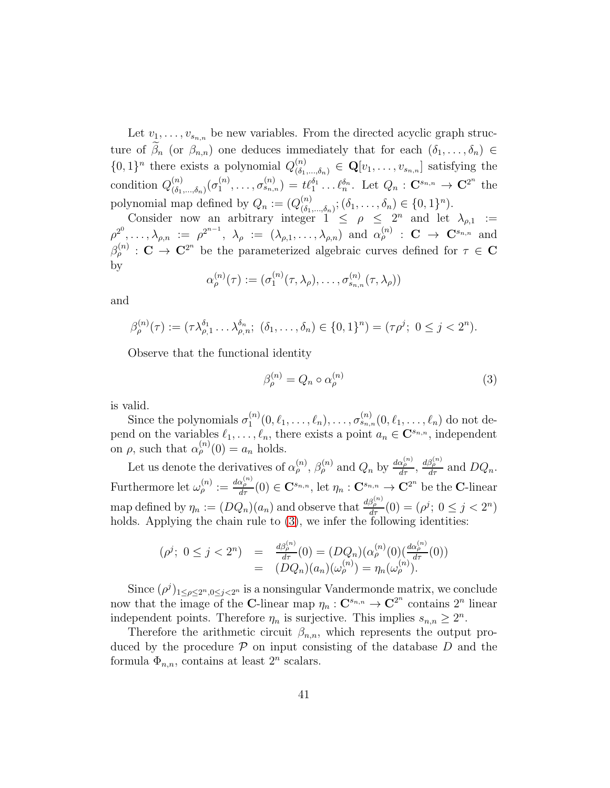Let  $v_1, \ldots, v_{s_{n,n}}$  be new variables. From the directed acyclic graph structure of  $\beta_n$  (or  $\beta_{n,n}$ ) one deduces immediately that for each  $(\delta_1,\ldots,\delta_n) \in$  $\{0,1\}^n$  there exists a polynomial  $Q_{(\delta_1,\ldots,\delta_n)}^{(n)} \in \mathbf{Q}[v_1,\ldots,v_{s_{n,n}}]$  satisfying the condition  $Q_{(\delta_1)}^{(n)}$  $\binom{n}{\delta_1,...,\delta_n}(\sigma_1^{(n)})$  $\mathcal{L}_1^{(n)}, \ldots, \sigma_{s_{n,n}}^{(n)} = t\ell_1^{\delta_1} \ldots \ell_n^{\delta_n}$ . Let  $Q_n : \mathbf{C}^{s_{n,n}} \to \mathbf{C}^{2^n}$  the polynomial map defined by  $Q_n := (Q_{(\delta_1)}^{(n)})$  $(\delta_1,...,\delta_n); (\delta_1,...,\delta_n) \in \{0,1\}^n$ ).

Consider now an arbitrary integer  $1 \leq \rho \leq 2^n$  and let  $\lambda_{\rho,1} :=$  $\rho^{2^0}, \ldots, \lambda_{\rho,n} \;:=\; \rho^{2^{n-1}},\;\lambda_\rho\;:=\;(\lambda_{\rho,1}, \ldots, \lambda_{\rho,n})\;\text{ and }\; \alpha_\rho^{(n)}\;:\; \mathbf{C}\;\to\;\mathbf{C}^{s_{n,n}}\;\text{ and}$  $\beta_{\rho}^{(n)}$ :  $\mathbf{C} \to \mathbf{C}^{2^n}$  be the parameterized algebraic curves defined for  $\tau \in \mathbf{C}$ by

$$
\alpha_{\rho}^{(n)}(\tau) := (\sigma_1^{(n)}(\tau, \lambda_{\rho}), \ldots, \sigma_{s_{n,n}}^{(n)}(\tau, \lambda_{\rho}))
$$

and

$$
\beta_{\rho}^{(n)}(\tau) := (\tau \lambda_{\rho,1}^{\delta_1} \dots \lambda_{\rho,n}^{\delta_n}; \ (\delta_1, \dots, \delta_n) \in \{0,1\}^n) = (\tau \rho^j; \ 0 \le j < 2^n).
$$

Observe that the functional identity

<span id="page-40-0"></span>
$$
\beta_{\rho}^{(n)} = Q_n \circ \alpha_{\rho}^{(n)} \tag{3}
$$

is valid.

Since the polynomials  $\sigma_1^{(n)}$  $\sigma_1^{(n)}(0,\ell_1,\ldots,\ell_n),\ldots,\sigma_{s_{n,n}}^{(n)}(0,\ell_1,\ldots,\ell_n)$  do not depend on the variables  $\ell_1, \ldots, \ell_n$ , there exists a point  $a_n \in \mathbb{C}^{s_{n,n}}$ , independent on  $\rho$ , such that  $\alpha_{\rho}^{(n)}(0) = a_n$  holds.

Let us denote the derivatives of  $\alpha_p^{(n)}$ ,  $\beta_p^{(n)}$  and  $Q_n$  by  $\frac{d\alpha_p^{(n)}}{d\tau}$ ,  $\frac{d\beta_p^{(n)}}{d\tau}$  and  $DQ_n$ . Furthermore let  $\omega_{\rho}^{(n)} := \frac{d\alpha_{\rho}^{(n)}}{d\tau}(0) \in \mathbf{C}^{s_{n,n}},$  let  $\eta_n : \mathbf{C}^{s_{n,n}} \to \mathbf{C}^{2^n}$  be the C-linear map defined by  $\eta_n := (DQ_n)(a_n)$  and observe that  $\frac{d\beta_p^{(n)}}{d\tau}(0) = (\rho^j; 0 \le j < 2^n)$ holds. Applying the chain rule to  $(3)$ , we infer the following identities:

$$
(\rho^j; \ 0 \le j < 2^n) = \frac{d\beta_{\rho}^{(n)}}{d\tau}(0) = (DQ_n)(\alpha_{\rho}^{(n)}(0)(\frac{d\alpha_{\rho}^{(n)}}{d\tau}(0))
$$
  
= 
$$
(DQ_n)(a_n)(\omega_{\rho}^{(n)}) = \eta_n(\omega_{\rho}^{(n)}).
$$

Since  $(\rho^j)_{1 \leq \rho \leq 2^n, 0 \leq j < 2^n}$  is a nonsingular Vandermonde matrix, we conclude now that the image of the C-linear map  $\eta_n : \mathbf{C}^{s_{n,n}} \to \mathbf{C}^{2^n}$  contains  $2^n$  linear independent points. Therefore  $\eta_n$  is surjective. This implies  $s_{n,n} \geq 2^n$ .

Therefore the arithmetic circuit  $\beta_{n,n}$ , which represents the output produced by the procedure  $P$  on input consisting of the database D and the formula  $\Phi_{n,n}$ , contains at least  $2^n$  scalars.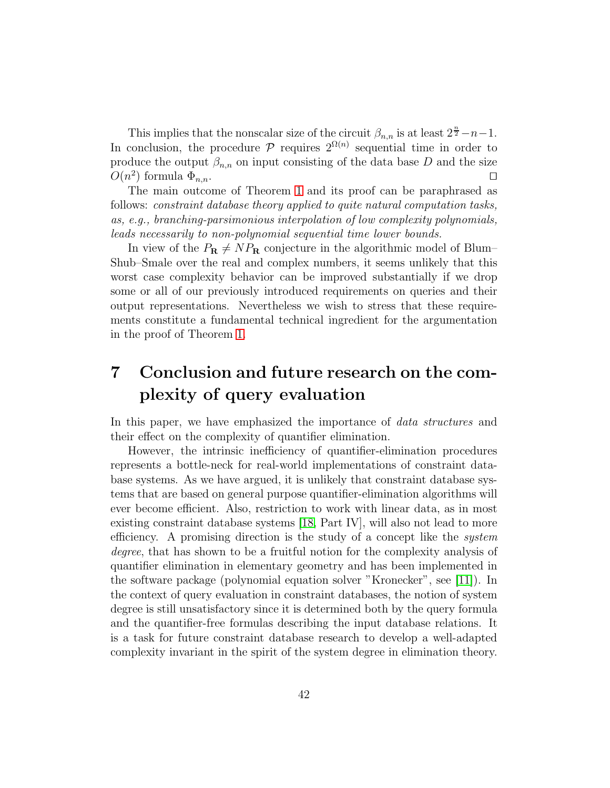This implies that the nonscalar size of the circuit  $\beta_{n,n}$  is at least  $2^{\frac{n}{2}} - n - 1$ . In conclusion, the procedure  $P$  requires  $2^{\Omega(n)}$  sequential time in order to produce the output  $\beta_{n,n}$  on input consisting of the data base D and the size  $O(n^2)$  formula  $\Phi_{n,n}$ . □

The main outcome of Theorem [1](#page-36-0) and its proof can be paraphrased as follows: constraint database theory applied to quite natural computation tasks, as, e.g., branching-parsimonious interpolation of low complexity polynomials, leads necessarily to non-polynomial sequential time lower bounds.

In view of the  $P_{\mathbf{R}} \neq NP_{\mathbf{R}}$  conjecture in the algorithmic model of Blum– Shub–Smale over the real and complex numbers, it seems unlikely that this worst case complexity behavior can be improved substantially if we drop some or all of our previously introduced requirements on queries and their output representations. Nevertheless we wish to stress that these requirements constitute a fundamental technical ingredient for the argumentation in the proof of Theorem [1.](#page-36-0)

# 7 Conclusion and future research on the complexity of query evaluation

In this paper, we have emphasized the importance of *data structures* and their effect on the complexity of quantifier elimination.

However, the intrinsic inefficiency of quantifier-elimination procedures represents a bottle-neck for real-world implementations of constraint database systems. As we have argued, it is unlikely that constraint database systems that are based on general purpose quantifier-elimination algorithms will ever become efficient. Also, restriction to work with linear data, as in most existing constraint database systems [\[18,](#page-43-3) Part IV], will also not lead to more efficiency. A promising direction is the study of a concept like the *system* degree, that has shown to be a fruitful notion for the complexity analysis of quantifier elimination in elementary geometry and has been implemented in the software package (polynomial equation solver "Kronecker", see [\[11\]](#page-43-0)). In the context of query evaluation in constraint databases, the notion of system degree is still unsatisfactory since it is determined both by the query formula and the quantifier-free formulas describing the input database relations. It is a task for future constraint database research to develop a well-adapted complexity invariant in the spirit of the system degree in elimination theory.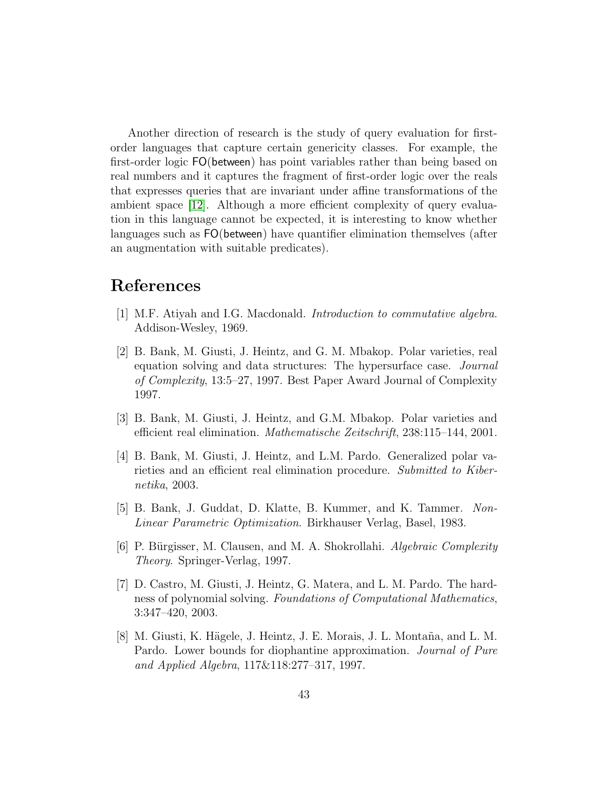Another direction of research is the study of query evaluation for firstorder languages that capture certain genericity classes. For example, the first-order logic FO(between) has point variables rather than being based on real numbers and it captures the fragment of first-order logic over the reals that expresses queries that are invariant under affine transformations of the ambient space [\[12\]](#page-43-9). Although a more efficient complexity of query evaluation in this language cannot be expected, it is interesting to know whether languages such as FO(between) have quantifier elimination themselves (after an augmentation with suitable predicates).

## <span id="page-42-5"></span>References

- <span id="page-42-0"></span>[1] M.F. Atiyah and I.G. Macdonald. Introduction to commutative algebra. Addison-Wesley, 1969.
- [2] B. Bank, M. Giusti, J. Heintz, and G. M. Mbakop. Polar varieties, real equation solving and data structures: The hypersurface case. Journal of Complexity, 13:5–27, 1997. Best Paper Award Journal of Complexity 1997.
- <span id="page-42-2"></span><span id="page-42-1"></span>[3] B. Bank, M. Giusti, J. Heintz, and G.M. Mbakop. Polar varieties and efficient real elimination. Mathematische Zeitschrift, 238:115–144, 2001.
- [4] B. Bank, M. Giusti, J. Heintz, and L.M. Pardo. Generalized polar varieties and an efficient real elimination procedure. Submitted to Kibernetika, 2003.
- <span id="page-42-7"></span><span id="page-42-4"></span>[5] B. Bank, J. Guddat, D. Klatte, B. Kummer, and K. Tammer. Non-Linear Parametric Optimization. Birkhauser Verlag, Basel, 1983.
- [6] P. Bürgisser, M. Clausen, and M. A. Shokrollahi. *Algebraic Complexity* Theory. Springer-Verlag, 1997.
- <span id="page-42-6"></span>[7] D. Castro, M. Giusti, J. Heintz, G. Matera, and L. M. Pardo. The hardness of polynomial solving. Foundations of Computational Mathematics, 3:347–420, 2003.
- <span id="page-42-3"></span>[8] M. Giusti, K. Hägele, J. Heintz, J. E. Morais, J. L. Montaña, and L. M. Pardo. Lower bounds for diophantine approximation. Journal of Pure and Applied Algebra, 117&118:277–317, 1997.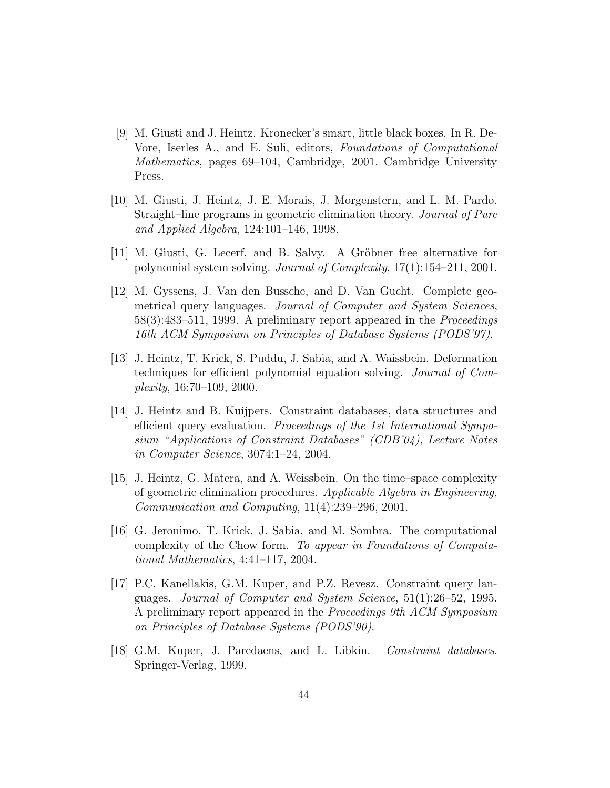- <span id="page-43-8"></span>[9] M. Giusti and J. Heintz. Kronecker's smart, little black boxes. In R. De-Vore, Iserles A., and E. Suli, editors, Foundations of Computational Mathematics, pages 69–104, Cambridge, 2001. Cambridge University Press.
- <span id="page-43-4"></span>[10] M. Giusti, J. Heintz, J. E. Morais, J. Morgenstern, and L. M. Pardo. Straight–line programs in geometric elimination theory. Journal of Pure and Applied Algebra, 124:101–146, 1998.
- <span id="page-43-9"></span><span id="page-43-0"></span>[11] M. Giusti, G. Lecerf, and B. Salvy. A Gröbner free alternative for polynomial system solving. Journal of Complexity, 17(1):154–211, 2001.
- [12] M. Gyssens, J. Van den Bussche, and D. Van Gucht. Complete geometrical query languages. Journal of Computer and System Sciences, 58(3):483–511, 1999. A preliminary report appeared in the Proceedings 16th ACM Symposium on Principles of Database Systems (PODS'97).
- <span id="page-43-5"></span>[13] J. Heintz, T. Krick, S. Puddu, J. Sabia, and A. Waissbein. Deformation techniques for efficient polynomial equation solving. Journal of Complexity, 16:70–109, 2000.
- <span id="page-43-1"></span>[14] J. Heintz and B. Kuijpers. Constraint databases, data structures and efficient query evaluation. Proceedings of the 1st International Symposium "Applications of Constraint Databases" (CDB'04), Lecture Notes in Computer Science, 3074:1–24, 2004.
- <span id="page-43-6"></span>[15] J. Heintz, G. Matera, and A. Weissbein. On the time–space complexity of geometric elimination procedures. Applicable Algebra in Engineering, Communication and Computing, 11(4):239–296, 2001.
- <span id="page-43-7"></span>[16] G. Jeronimo, T. Krick, J. Sabia, and M. Sombra. The computational complexity of the Chow form. To appear in Foundations of Computational Mathematics, 4:41–117, 2004.
- <span id="page-43-2"></span>[17] P.C. Kanellakis, G.M. Kuper, and P.Z. Revesz. Constraint query languages. Journal of Computer and System Science, 51(1):26–52, 1995. A preliminary report appeared in the Proceedings 9th ACM Symposium on Principles of Database Systems (PODS'90).
- <span id="page-43-3"></span>[18] G.M. Kuper, J. Paredaens, and L. Libkin. Constraint databases. Springer-Verlag, 1999.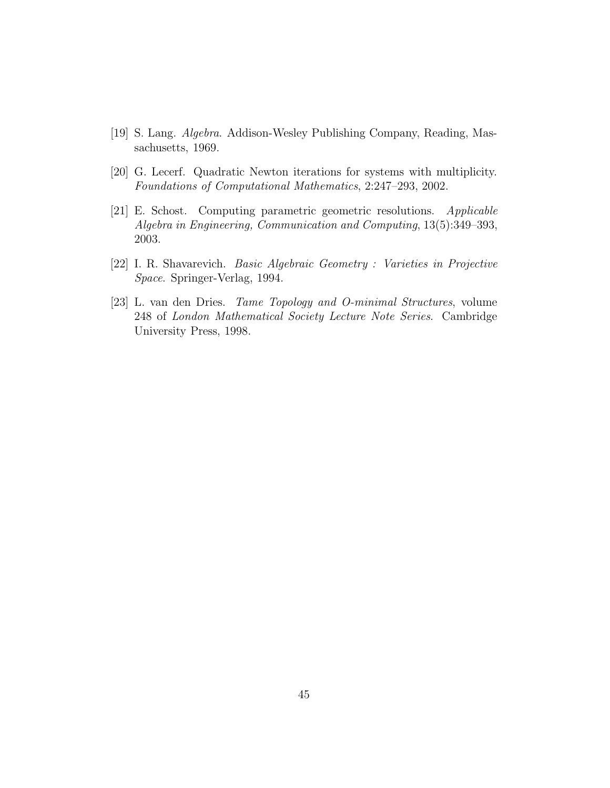- <span id="page-44-4"></span><span id="page-44-1"></span>[19] S. Lang. Algebra. Addison-Wesley Publishing Company, Reading, Massachusetts, 1969.
- <span id="page-44-2"></span>[20] G. Lecerf. Quadratic Newton iterations for systems with multiplicity. Foundations of Computational Mathematics, 2:247–293, 2002.
- [21] E. Schost. Computing parametric geometric resolutions. Applicable Algebra in Engineering, Communication and Computing, 13(5):349–393, 2003.
- <span id="page-44-3"></span><span id="page-44-0"></span>[22] I. R. Shavarevich. Basic Algebraic Geometry : Varieties in Projective Space. Springer-Verlag, 1994.
- [23] L. van den Dries. Tame Topology and O-minimal Structures, volume 248 of London Mathematical Society Lecture Note Series. Cambridge University Press, 1998.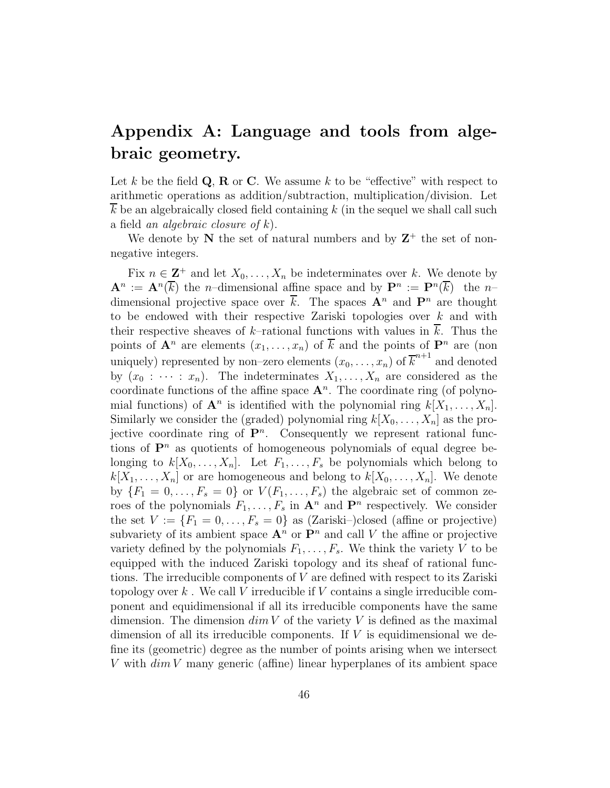# Appendix A: Language and tools from algebraic geometry.

Let k be the field  $\mathbf{Q}, \mathbf{R}$  or  $\mathbf{C}$ . We assume k to be "effective" with respect to arithmetic operations as addition/subtraction, multiplication/division. Let  $k$  be an algebraically closed field containing  $k$  (in the sequel we shall call such a field an algebraic closure of  $k$ ).

We denote by  $N$  the set of natural numbers and by  $Z^+$  the set of nonnegative integers.

Fix  $n \in \mathbb{Z}^+$  and let  $X_0, \ldots, X_n$  be indeterminates over k. We denote by  $\mathbf{A}^n := \mathbf{A}^n(\overline{k})$  the *n*-dimensional affine space and by  $\mathbf{P}^n := \mathbf{P}^n(\overline{k})$  the *n*dimensional projective space over  $\bar{k}$ . The spaces  $\mathbf{A}^n$  and  $\mathbf{P}^n$  are thought to be endowed with their respective Zariski topologies over  $k$  and with their respective sheaves of k–rational functions with values in  $\overline{k}$ . Thus the points of  $\mathbf{A}^n$  are elements  $(x_1, \ldots, x_n)$  of  $\overline{k}$  and the points of  $\mathbf{P}^n$  are (non uniquely) represented by non–zero elements  $(x_0, \ldots, x_n)$  of  $\overline{k}^{n+1}$  and denoted by  $(x_0 : \cdots : x_n)$ . The indeterminates  $X_1, \ldots, X_n$  are considered as the coordinate functions of the affine space  $A<sup>n</sup>$ . The coordinate ring (of polynomial functions) of  $\mathbf{A}^n$  is identified with the polynomial ring  $k[X_1, \ldots, X_n]$ . Similarly we consider the (graded) polynomial ring  $k[X_0, \ldots, X_n]$  as the projective coordinate ring of  $\mathbf{P}^n$ . Consequently we represent rational functions of  $\mathbf{P}^n$  as quotients of homogeneous polynomials of equal degree belonging to  $k[X_0, \ldots, X_n]$ . Let  $F_1, \ldots, F_s$  be polynomials which belong to  $k[X_1, \ldots, X_n]$  or are homogeneous and belong to  $k[X_0, \ldots, X_n]$ . We denote by  $\{F_1 = 0, \ldots, F_s = 0\}$  or  $V(F_1, \ldots, F_s)$  the algebraic set of common zeroes of the polynomials  $F_1, \ldots, F_s$  in  $\mathbf{A}^n$  and  $\mathbf{P}^n$  respectively. We consider the set  $V := \{F_1 = 0, \ldots, F_s = 0\}$  as (Zariski–)closed (affine or projective) subvariety of its ambient space  $\mathbf{A}^n$  or  $\mathbf{P}^n$  and call V the affine or projective variety defined by the polynomials  $F_1, \ldots, F_s$ . We think the variety V to be equipped with the induced Zariski topology and its sheaf of rational functions. The irreducible components of V are defined with respect to its Zariski topology over k. We call V irreducible if V contains a single irreducible component and equidimensional if all its irreducible components have the same dimension. The dimension  $\dim V$  of the variety V is defined as the maximal dimension of all its irreducible components. If  $V$  is equidimensional we define its (geometric) degree as the number of points arising when we intersect V with  $\dim V$  many generic (affine) linear hyperplanes of its ambient space